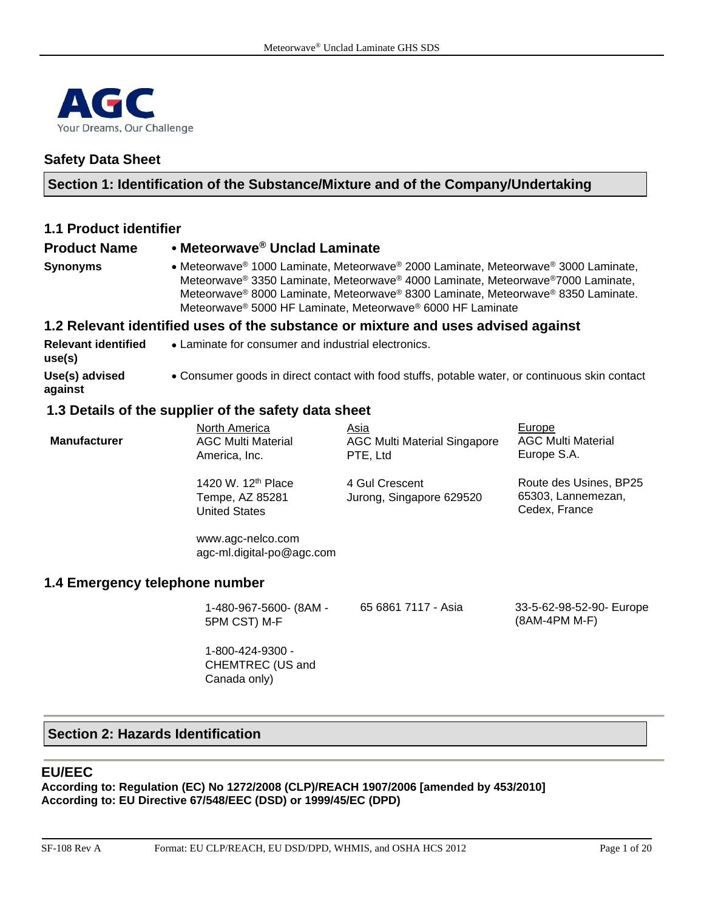

# **Safety Data Sheet**

## **Section 1: Identification of the Substance/Mixture and of the Company/Undertaking**

| <b>1.1 Product identifier</b>        |                                                                                                                                                                                                                                                                                                                                                 |
|--------------------------------------|-------------------------------------------------------------------------------------------------------------------------------------------------------------------------------------------------------------------------------------------------------------------------------------------------------------------------------------------------|
| <b>Product Name</b>                  | • Meteorwave® Unclad Laminate                                                                                                                                                                                                                                                                                                                   |
| <b>Synonyms</b>                      | • Meteorwave® 1000 Laminate, Meteorwave® 2000 Laminate, Meteorwave® 3000 Laminate,<br>Meteorwave® 3350 Laminate, Meteorwave® 4000 Laminate, Meteorwave®7000 Laminate,<br>Meteorwave® 8000 Laminate, Meteorwave® 8300 Laminate, Meteorwave® 8350 Laminate.<br>Meteorwave <sup>®</sup> 5000 HF Laminate, Meteorwave <sup>®</sup> 6000 HF Laminate |
|                                      | 1.2 Relevant identified uses of the substance or mixture and uses advised against                                                                                                                                                                                                                                                               |
| <b>Relevant identified</b><br>use(s) | • Laminate for consumer and industrial electronics.                                                                                                                                                                                                                                                                                             |
| Use(s) advised<br>against            | • Consumer goods in direct contact with food stuffs, potable water, or continuous skin contact                                                                                                                                                                                                                                                  |

## **1.3 Details of the supplier of the safety data sheet**

| <b>Manufacturer</b>            | North America<br><b>AGC Multi Material</b><br>America, Inc.               | Asia<br><b>AGC Multi Material Singapore</b><br>PTE, Ltd | Europe<br><b>AGC Multi Material</b><br>Europe S.A.            |
|--------------------------------|---------------------------------------------------------------------------|---------------------------------------------------------|---------------------------------------------------------------|
|                                | 1420 W. 12 <sup>th</sup> Place<br>Tempe, AZ 85281<br><b>United States</b> | 4 Gul Crescent<br>Jurong, Singapore 629520              | Route des Usines, BP25<br>65303, Lannemezan,<br>Cedex, France |
|                                | www.agc-nelco.com<br>agc-ml.digital-po@agc.com                            |                                                         |                                                               |
| 1.4 Emergency telephone number |                                                                           |                                                         |                                                               |
|                                | 1-480-967-5600- (8AM -<br>5PM CST) M-F                                    | 65 6861 7117 - Asia                                     | 33-5-62-98-52-90- Europe<br>(8AM-4PM M-F)                     |

1-800-424-9300 - CHEMTREC (US and Canada only)

## **Section 2: Hazards Identification**

#### **EU/EEC**

**According to: Regulation (EC) No 1272/2008 (CLP)/REACH 1907/2006 [amended by 453/2010] According to: EU Directive 67/548/EEC (DSD) or 1999/45/EC (DPD)**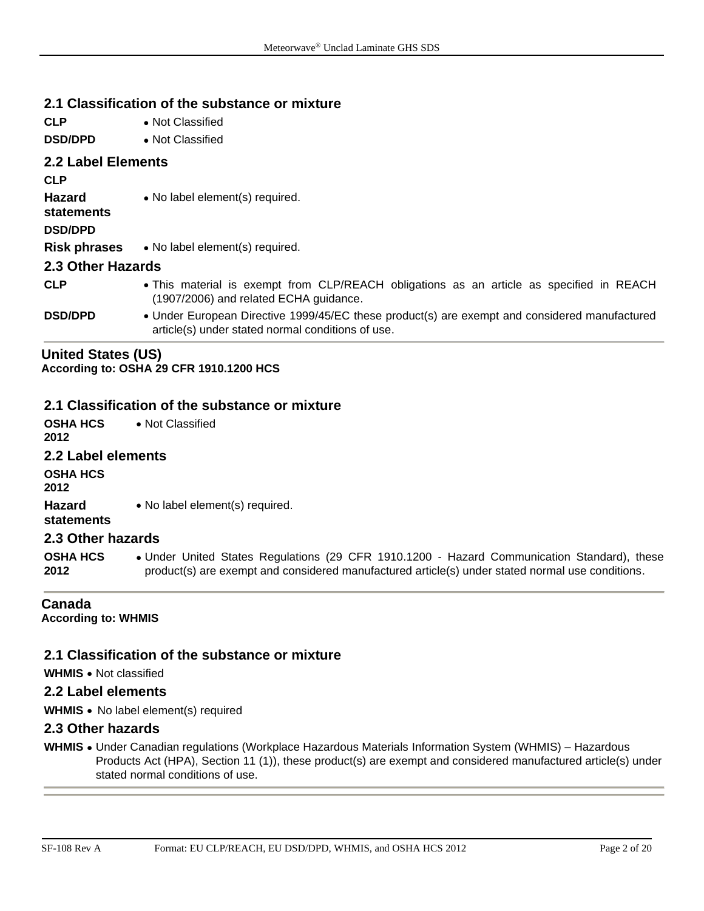## **2.1 Classification of the substance or mixture**

**CLP** • Not Classified **DSD/DPD** • Not Classified **2.2 Label Elements CLP Hazard statements** • No label element(s) required. **DSD/DPD Risk phrases** • No label element(s) required. **2.3 Other Hazards CLP** • This material is exempt from CLP/REACH obligations as an article as specified in REACH (1907/2006) and related ECHA guidance. **DSD/DPD** • Under European Directive 1999/45/EC these product(s) are exempt and considered manufactured article(s) under stated normal conditions of use.

#### **United States (US)**

**According to: OSHA 29 CFR 1910.1200 HCS**

#### **2.1 Classification of the substance or mixture**

| OSHA HCS<br>2012        | • Not Classified                                                                                                                                                                                |
|-------------------------|-------------------------------------------------------------------------------------------------------------------------------------------------------------------------------------------------|
| 2.2 Label elements      |                                                                                                                                                                                                 |
| OSHA HCS<br>2012        |                                                                                                                                                                                                 |
| Hazard<br>statements    | • No label element(s) required.                                                                                                                                                                 |
| 2.3 Other hazards       |                                                                                                                                                                                                 |
| <b>OSHA HCS</b><br>2012 | • Under United States Regulations (29 CFR 1910.1200 - Hazard Communication Standard), these<br>product(s) are exempt and considered manufactured article(s) under stated normal use conditions. |
|                         |                                                                                                                                                                                                 |

#### **Canada**

**According to: WHMIS** 

#### **2.1 Classification of the substance or mixture**

**WHMIS** • Not classified

#### **2.2 Label elements**

**WHMIS** • No label element(s) required

#### **2.3 Other hazards**

**WHMIS** • Under Canadian regulations (Workplace Hazardous Materials Information System (WHMIS) – Hazardous Products Act (HPA), Section 11 (1)), these product(s) are exempt and considered manufactured article(s) under stated normal conditions of use.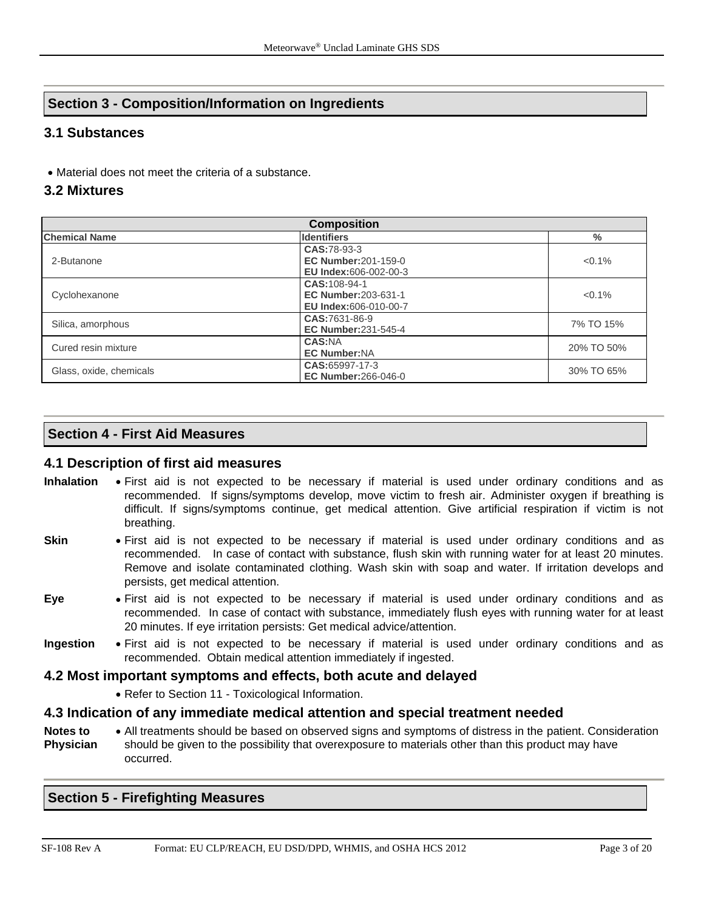# **Section 3 - Composition/Information on Ingredients**

# **3.1 Substances**

• Material does not meet the criteria of a substance.

## **3.2 Mixtures**

| <b>Composition</b>      |                                                                            |            |  |  |  |
|-------------------------|----------------------------------------------------------------------------|------------|--|--|--|
| <b>Chemical Name</b>    | <b>Identifiers</b>                                                         | $\%$       |  |  |  |
| 2-Butanone              | CAS:78-93-3<br><b>EC Number:</b> 201-159-0<br><b>EU Index:606-002-00-3</b> | $< 0.1\%$  |  |  |  |
| Cyclohexanone           | CAS: 108-94-1<br><b>EC Number:</b> 203-631-1<br>EU Index:606-010-00-7      | $< 0.1\%$  |  |  |  |
| Silica, amorphous       | CAS:7631-86-9<br><b>EC Number: 231-545-4</b>                               | 7% TO 15%  |  |  |  |
| Cured resin mixture     | <b>CAS:NA</b><br><b>EC Number:NA</b>                                       | 20% TO 50% |  |  |  |
| Glass, oxide, chemicals | CAS:65997-17-3<br><b>EC Number: 266-046-0</b>                              | 30% TO 65% |  |  |  |

# **Section 4 - First Aid Measures**

#### **4.1 Description of first aid measures**

- **Inhalation** First aid is not expected to be necessary if material is used under ordinary conditions and as recommended. If signs/symptoms develop, move victim to fresh air. Administer oxygen if breathing is difficult. If signs/symptoms continue, get medical attention. Give artificial respiration if victim is not breathing.
- **Skin** First aid is not expected to be necessary if material is used under ordinary conditions and as recommended. In case of contact with substance, flush skin with running water for at least 20 minutes. Remove and isolate contaminated clothing. Wash skin with soap and water. If irritation develops and persists, get medical attention.
- **Eye** First aid is not expected to be necessary if material is used under ordinary conditions and as recommended. In case of contact with substance, immediately flush eyes with running water for at least 20 minutes. If eye irritation persists: Get medical advice/attention.
- **Ingestion** First aid is not expected to be necessary if material is used under ordinary conditions and as recommended. Obtain medical attention immediately if ingested.

#### **4.2 Most important symptoms and effects, both acute and delayed**

• Refer to Section 11 - Toxicological Information.

#### **4.3 Indication of any immediate medical attention and special treatment needed**

**Notes to Physician** • All treatments should be based on observed signs and symptoms of distress in the patient. Consideration should be given to the possibility that overexposure to materials other than this product may have occurred.

#### **Section 5 - Firefighting Measures**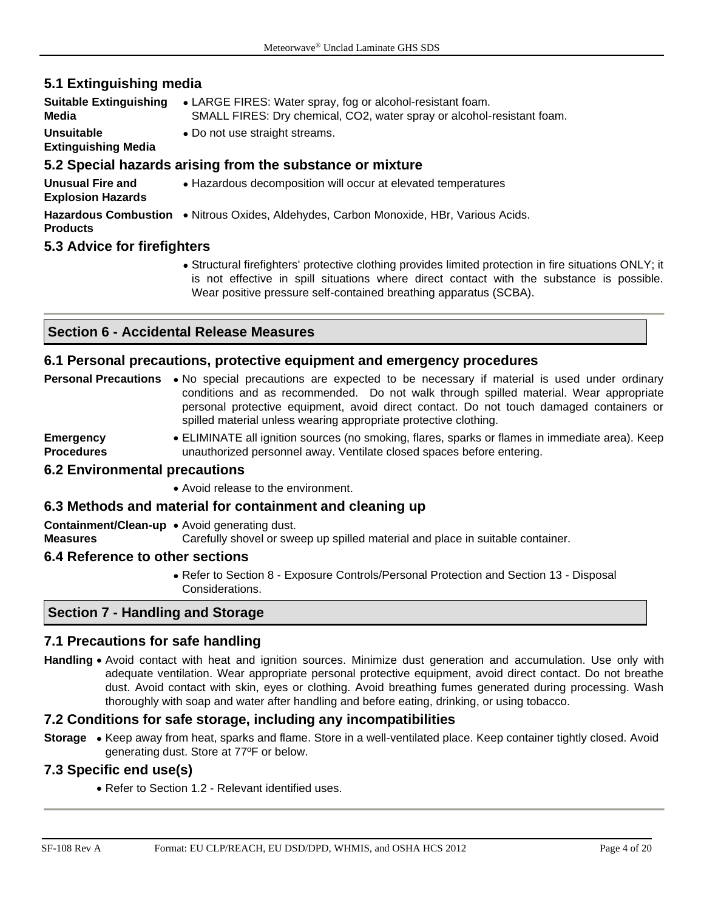# **5.1 Extinguishing media**

| <b>Suitable Extinguishing</b><br>Media          | • LARGE FIRES: Water spray, fog or alcohol-resistant foam.<br>SMALL FIRES: Dry chemical, CO2, water spray or alcohol-resistant foam. |
|-------------------------------------------------|--------------------------------------------------------------------------------------------------------------------------------------|
| <b>Unsuitable</b><br><b>Extinguishing Media</b> | • Do not use straight streams.                                                                                                       |
|                                                 | 5.2 Special hazards arising from the substance or mixture                                                                            |
| Unusual Fire and<br><b>Explosion Hazards</b>    | • Hazardous decomposition will occur at elevated temperatures                                                                        |
| <b>Products</b>                                 | Hazardous Combustion . Nitrous Oxides, Aldehydes, Carbon Monoxide, HBr, Various Acids.                                               |
| 5.3 Advice for firefighters                     |                                                                                                                                      |

• Structural firefighters' protective clothing provides limited protection in fire situations ONLY; it is not effective in spill situations where direct contact with the substance is possible. Wear positive pressure self-contained breathing apparatus (SCBA).

# **Section 6 - Accidental Release Measures**

#### **6.1 Personal precautions, protective equipment and emergency procedures**

|                                       | <b>Personal Precautions</b> • No special precautions are expected to be necessary if material is used under ordinary<br>conditions and as recommended. Do not walk through spilled material. Wear appropriate<br>personal protective equipment, avoid direct contact. Do not touch damaged containers or<br>spilled material unless wearing appropriate protective clothing. |
|---------------------------------------|------------------------------------------------------------------------------------------------------------------------------------------------------------------------------------------------------------------------------------------------------------------------------------------------------------------------------------------------------------------------------|
| <b>Emergency</b><br><b>Procedures</b> | • ELIMINATE all ignition sources (no smoking, flares, sparks or flames in immediate area). Keep<br>unauthorized personnel away. Ventilate closed spaces before entering.                                                                                                                                                                                                     |
| <b>6.2 Environmental precautions</b>  |                                                                                                                                                                                                                                                                                                                                                                              |
|                                       | • Avoid release to the environment.                                                                                                                                                                                                                                                                                                                                          |
|                                       | 6.3 Methods and material for containment and cleaning up                                                                                                                                                                                                                                                                                                                     |

**Containment/Clean-up**  • Avoid generating dust.

**Measures** Carefully shovel or sweep up spilled material and place in suitable container.

#### **6.4 Reference to other sections**

• Refer to Section 8 - Exposure Controls/Personal Protection and Section 13 - Disposal Considerations.

#### **Section 7 - Handling and Storage**

#### **7.1 Precautions for safe handling**

**Handling** • Avoid contact with heat and ignition sources. Minimize dust generation and accumulation. Use only with adequate ventilation. Wear appropriate personal protective equipment, avoid direct contact. Do not breathe dust. Avoid contact with skin, eyes or clothing. Avoid breathing fumes generated during processing. Wash thoroughly with soap and water after handling and before eating, drinking, or using tobacco.

#### **7.2 Conditions for safe storage, including any incompatibilities**

**Storage** • Keep away from heat, sparks and flame. Store in a well-ventilated place. Keep container tightly closed. Avoid generating dust. Store at 77ºF or below.

#### **7.3 Specific end use(s)**

• Refer to Section 1.2 - Relevant identified uses.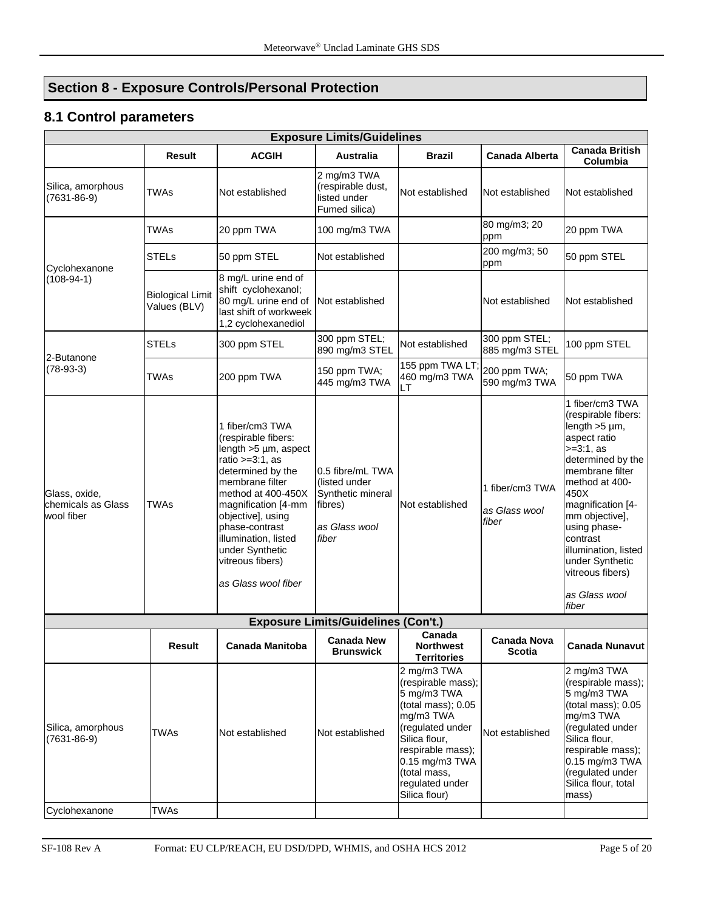# **Section 8 - Exposure Controls/Personal Protection**

# **8.1 Control parameters**

| Result<br>TWAs<br>TWAs<br><b>STELs</b><br><b>Biological Limit</b><br>Values (BLV)<br>STELs<br><b>TWAs</b> | <b>ACGIH</b><br>Not established<br>20 ppm TWA<br>50 ppm STEL<br>8 mg/L urine end of<br>shift cyclohexanol;<br>80 mg/L urine end of<br>last shift of workweek<br>1,2 cyclohexanediol<br>300 ppm STEL<br>200 ppm TWA                                                                                           | <b>Australia</b><br>2 mg/m3 TWA<br>(respirable dust,<br>listed under<br>Fumed silica)<br>100 mg/m3 TWA<br>Not established<br>Not established<br>300 ppm STEL;<br>890 mg/m3 STEL | Brazil<br>Not established<br>Not established                                                                                                                                                                        | <b>Canada Alberta</b><br>Not established<br>80 mg/m3; 20<br>ppm<br>200 mg/m3; 50<br>ppm<br>Not established<br>300 ppm STEL; | <b>Canada British</b><br>Columbia<br>Not established<br>20 ppm TWA<br>50 ppm STEL<br>Not established<br>100 ppm STEL                                                                                                                                                                                                      |
|-----------------------------------------------------------------------------------------------------------|--------------------------------------------------------------------------------------------------------------------------------------------------------------------------------------------------------------------------------------------------------------------------------------------------------------|---------------------------------------------------------------------------------------------------------------------------------------------------------------------------------|---------------------------------------------------------------------------------------------------------------------------------------------------------------------------------------------------------------------|-----------------------------------------------------------------------------------------------------------------------------|---------------------------------------------------------------------------------------------------------------------------------------------------------------------------------------------------------------------------------------------------------------------------------------------------------------------------|
|                                                                                                           |                                                                                                                                                                                                                                                                                                              |                                                                                                                                                                                 |                                                                                                                                                                                                                     |                                                                                                                             |                                                                                                                                                                                                                                                                                                                           |
|                                                                                                           |                                                                                                                                                                                                                                                                                                              |                                                                                                                                                                                 |                                                                                                                                                                                                                     |                                                                                                                             |                                                                                                                                                                                                                                                                                                                           |
|                                                                                                           |                                                                                                                                                                                                                                                                                                              |                                                                                                                                                                                 |                                                                                                                                                                                                                     |                                                                                                                             |                                                                                                                                                                                                                                                                                                                           |
|                                                                                                           |                                                                                                                                                                                                                                                                                                              |                                                                                                                                                                                 |                                                                                                                                                                                                                     |                                                                                                                             |                                                                                                                                                                                                                                                                                                                           |
|                                                                                                           |                                                                                                                                                                                                                                                                                                              |                                                                                                                                                                                 |                                                                                                                                                                                                                     |                                                                                                                             |                                                                                                                                                                                                                                                                                                                           |
|                                                                                                           |                                                                                                                                                                                                                                                                                                              |                                                                                                                                                                                 |                                                                                                                                                                                                                     | 885 mg/m3 STEL                                                                                                              |                                                                                                                                                                                                                                                                                                                           |
|                                                                                                           |                                                                                                                                                                                                                                                                                                              | 445 mg/m3 TWA                                                                                                                                                                   | 155 ppm TWA LT;<br>460 mg/m3 TWA<br>LT                                                                                                                                                                              | 200 ppm TWA;<br>590 mg/m3 TWA                                                                                               | 50 ppm TWA                                                                                                                                                                                                                                                                                                                |
| TWAs                                                                                                      | 1 fiber/cm3 TWA<br>(respirable fibers:<br>length $>5 \mu m$ , aspect<br>ratio $>=3:1$ , as<br>determined by the<br>membrane filter<br>method at 400-450X<br>magnification [4-mm<br>objective], using<br>phase-contrast<br>illumination, listed<br>under Synthetic<br>vitreous fibers)<br>as Glass wool fiber | 0.5 fibre/mL TWA<br>listed under)<br>Synthetic mineral<br>fibres)<br>as Glass wool<br>fiber                                                                                     | Not established                                                                                                                                                                                                     | 1 fiber/cm3 TWA<br>as Glass wool<br>fiber                                                                                   | 1 fiber/cm3 TWA<br>(respirable fibers:<br>length $>5 \mu$ m,<br>aspect ratio<br>$>=3:1, as$<br>determined by the<br>membrane filter<br>method at 400-<br>450X<br>magnification [4-<br>mm objective],<br>using phase-<br>contrast<br>illumination, listed<br>under Synthetic<br>vitreous fibers)<br>as Glass wool<br>fiber |
|                                                                                                           |                                                                                                                                                                                                                                                                                                              |                                                                                                                                                                                 |                                                                                                                                                                                                                     |                                                                                                                             |                                                                                                                                                                                                                                                                                                                           |
| Result                                                                                                    | Canada Manitoba                                                                                                                                                                                                                                                                                              | <b>Canada New</b><br><b>Brunswick</b>                                                                                                                                           | Canada<br><b>Northwest</b><br><b>Territories</b>                                                                                                                                                                    | Canada Nova<br><b>Scotia</b>                                                                                                | Canada Nunavut                                                                                                                                                                                                                                                                                                            |
| <b>TWAs</b>                                                                                               | Not established                                                                                                                                                                                                                                                                                              | Not established                                                                                                                                                                 | 2 mg/m3 TWA<br>(respirable mass);<br>5 mg/m3 TWA<br>(total mass); 0.05<br>mg/m3 TWA<br>(regulated under<br>Silica flour,<br>respirable mass);<br>0.15 mg/m3 TWA<br>(total mass,<br>regulated under<br>Silica flour) | Not established                                                                                                             | 2 mg/m3 TWA<br>(respirable mass);<br>5 mg/m3 TWA<br>(total mass); 0.05<br>mg/m3 TWA<br>(regulated under<br>Silica flour,<br>respirable mass);<br>$0.15$ mg/m3 TWA<br>(regulated under<br>Silica flour, total<br>mass)                                                                                                     |
|                                                                                                           |                                                                                                                                                                                                                                                                                                              | <b>TWAs</b>                                                                                                                                                                     | 150 ppm TWA;                                                                                                                                                                                                        | <b>Exposure Limits/Guidelines (Con't.)</b>                                                                                  |                                                                                                                                                                                                                                                                                                                           |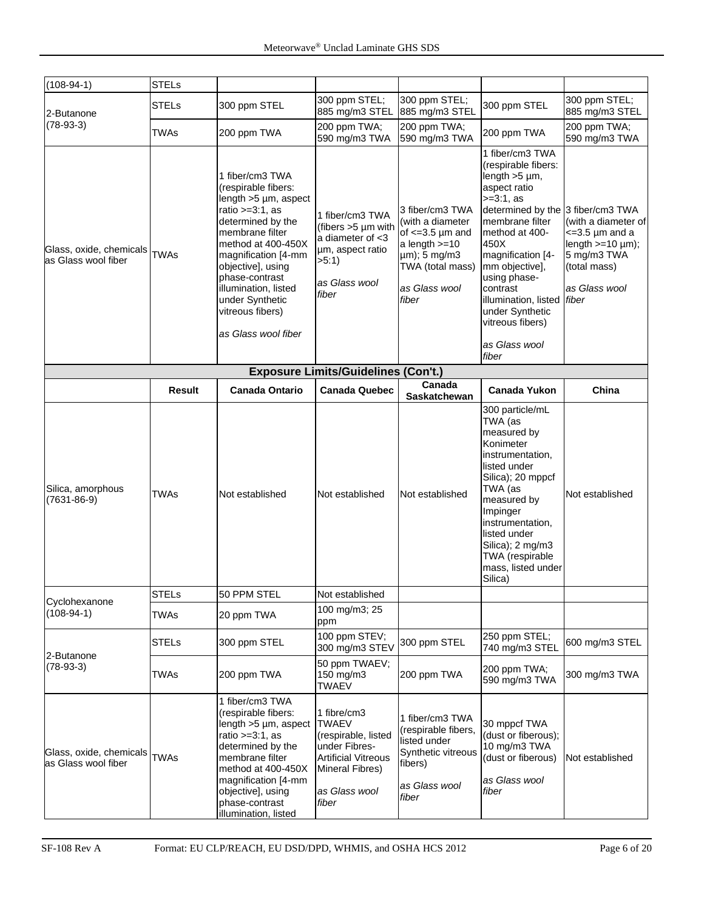| $(108-94-1)$                                   | <b>STELs</b>  |                                                                                                                                                                                                                                                                                                              |                                                                                                                                                |                                                                                                                                               |                                                                                                                                                                                                                                                                                                                        |                                                                                                                          |  |  |
|------------------------------------------------|---------------|--------------------------------------------------------------------------------------------------------------------------------------------------------------------------------------------------------------------------------------------------------------------------------------------------------------|------------------------------------------------------------------------------------------------------------------------------------------------|-----------------------------------------------------------------------------------------------------------------------------------------------|------------------------------------------------------------------------------------------------------------------------------------------------------------------------------------------------------------------------------------------------------------------------------------------------------------------------|--------------------------------------------------------------------------------------------------------------------------|--|--|
| 2-Butanone                                     | <b>STELs</b>  | 300 ppm STEL                                                                                                                                                                                                                                                                                                 | 300 ppm STEL;<br>885 mg/m3 STEL                                                                                                                | 300 ppm STEL;<br>885 mg/m3 STEL                                                                                                               | 300 ppm STEL                                                                                                                                                                                                                                                                                                           | 300 ppm STEL;<br>885 mg/m3 STEL                                                                                          |  |  |
| $(78-93-3)$                                    | <b>TWAs</b>   | 200 ppm TWA                                                                                                                                                                                                                                                                                                  | 200 ppm TWA;<br>590 mg/m3 TWA                                                                                                                  | 200 ppm TWA;<br>590 mg/m3 TWA                                                                                                                 | 200 ppm TWA                                                                                                                                                                                                                                                                                                            | 200 ppm TWA;<br>590 mg/m3 TWA                                                                                            |  |  |
| Glass, oxide, chemicals<br>as Glass wool fiber | <b>TWAs</b>   | 1 fiber/cm3 TWA<br>(respirable fibers:<br>length $>5 \mu m$ , aspect<br>ratio $>=3:1$ , as<br>determined by the<br>membrane filter<br>method at 400-450X<br>magnification [4-mm<br>objective], using<br>phase-contrast<br>illumination, listed<br>under Synthetic<br>vitreous fibers)<br>as Glass wool fiber | 1 fiber/cm3 TWA<br>(fibers >5 µm with<br>a diameter of $<$ 3<br>µm, aspect ratio<br>>5:1<br>as Glass wool<br>fiber                             | 3 fiber/cm3 TWA<br>(with a diameter<br>of $\leq$ =3.5 µm and<br>a length $>=10$<br>µm); 5 mg/m3<br>TWA (total mass)<br>as Glass wool<br>fiber | 1 fiber/cm3 TWA<br>(respirable fibers:<br>length $>5 \mu m$ ,<br>aspect ratio<br>$>=3:1.$ as<br>determined by the 3 fiber/cm3 TWA<br>membrane filter<br>method at 400-<br>450X<br>magnification [4-<br>mm objective],<br>using phase-<br>contrast<br>illumination, listed fiber<br>under Synthetic<br>vitreous fibers) | (with a diameter of<br>$\epsilon$ =3.5 µm and a<br>length $>=10 \mu m$ ;<br>5 mg/m3 TWA<br>(total mass)<br>as Glass wool |  |  |
|                                                |               |                                                                                                                                                                                                                                                                                                              |                                                                                                                                                |                                                                                                                                               | as Glass wool<br>fiber                                                                                                                                                                                                                                                                                                 |                                                                                                                          |  |  |
| <b>Exposure Limits/Guidelines (Con't.)</b>     |               |                                                                                                                                                                                                                                                                                                              |                                                                                                                                                |                                                                                                                                               |                                                                                                                                                                                                                                                                                                                        |                                                                                                                          |  |  |
|                                                | <b>Result</b> | <b>Canada Ontario</b>                                                                                                                                                                                                                                                                                        | <b>Canada Quebec</b>                                                                                                                           | Canada<br><b>Saskatchewan</b>                                                                                                                 | <b>Canada Yukon</b>                                                                                                                                                                                                                                                                                                    | China                                                                                                                    |  |  |
| Silica, amorphous<br>$(7631 - 86 - 9)$         | <b>TWAs</b>   | Not established                                                                                                                                                                                                                                                                                              | Not established                                                                                                                                | Not established                                                                                                                               | 300 particle/mL<br>TWA (as<br>measured by<br>Konimeter<br>instrumentation,<br>listed under<br>Silica); 20 mppcf<br>TWA (as<br>measured by<br>Impinger<br>instrumentation.<br>listed under<br>Silica); 2 mg/m3<br>TWA (respirable<br>mass, listed under<br>Silica)                                                      | Not established                                                                                                          |  |  |
|                                                | <b>STELs</b>  | 50 PPM STEL                                                                                                                                                                                                                                                                                                  | Not established                                                                                                                                |                                                                                                                                               |                                                                                                                                                                                                                                                                                                                        |                                                                                                                          |  |  |
| Cyclohexanone<br>$(108-94-1)$                  | <b>TWAs</b>   | 20 ppm TWA                                                                                                                                                                                                                                                                                                   | 100 mg/m3; 25<br>ppm                                                                                                                           |                                                                                                                                               |                                                                                                                                                                                                                                                                                                                        |                                                                                                                          |  |  |
| 2-Butanone                                     | <b>STELs</b>  | 300 ppm STEL                                                                                                                                                                                                                                                                                                 | 100 ppm STEV;<br>300 mg/m3 STEV                                                                                                                | 300 ppm STEL                                                                                                                                  | 250 ppm STEL;<br>740 mg/m3 STEL                                                                                                                                                                                                                                                                                        | 600 mg/m3 STEL                                                                                                           |  |  |
| $(78-93-3)$                                    | TWAs          | 200 ppm TWA                                                                                                                                                                                                                                                                                                  | 50 ppm TWAEV;<br>150 mg/m3<br><b>TWAEV</b>                                                                                                     | 200 ppm TWA                                                                                                                                   | 200 ppm TWA;<br>590 mg/m3 TWA                                                                                                                                                                                                                                                                                          | 300 mg/m3 TWA                                                                                                            |  |  |
| Glass, oxide, chemicals<br>as Glass wool fiber | <b>TWAs</b>   | 1 fiber/cm3 TWA<br>(respirable fibers:<br>length $>5 \mu m$ , aspect<br>ratio $>=3:1$ , as<br>determined by the<br>membrane filter<br>method at 400-450X<br>magnification [4-mm<br>objective], using<br>phase-contrast<br>illumination, listed                                                               | 1 fibre/cm3<br><b>TWAEV</b><br>(respirable, listed<br>under Fibres-<br><b>Artificial Vitreous</b><br>Mineral Fibres)<br>as Glass wool<br>fiber | 1 fiber/cm3 TWA<br>(respirable fibers,<br>listed under<br>Synthetic vitreous<br>fibers)<br>as Glass wool<br>fiber                             | 30 mppcf TWA<br>(dust or fiberous);<br>10 mg/m3 TWA<br>(dust or fiberous)<br>as Glass wool<br>fiber                                                                                                                                                                                                                    | Not established                                                                                                          |  |  |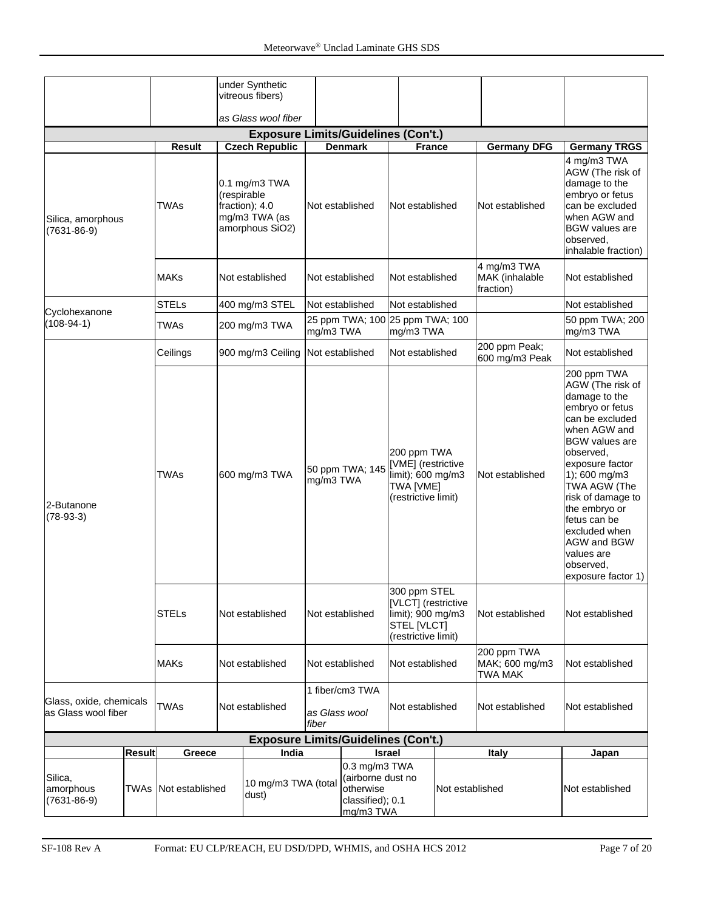|                                                                    |  |                       |                 | under Synthetic                                                          |                                                 |                                    |                                                                                                |                 |                                                 |                                                                                                                                                                                                                                                                                                                                                |
|--------------------------------------------------------------------|--|-----------------------|-----------------|--------------------------------------------------------------------------|-------------------------------------------------|------------------------------------|------------------------------------------------------------------------------------------------|-----------------|-------------------------------------------------|------------------------------------------------------------------------------------------------------------------------------------------------------------------------------------------------------------------------------------------------------------------------------------------------------------------------------------------------|
|                                                                    |  |                       |                 | vitreous fibers)                                                         |                                                 |                                    |                                                                                                |                 |                                                 |                                                                                                                                                                                                                                                                                                                                                |
|                                                                    |  |                       |                 | as Glass wool fiber                                                      |                                                 |                                    |                                                                                                |                 |                                                 |                                                                                                                                                                                                                                                                                                                                                |
|                                                                    |  |                       |                 | <b>Exposure Limits/Guidelines (Con't.)</b><br><b>Czech Republic</b>      |                                                 |                                    |                                                                                                |                 |                                                 |                                                                                                                                                                                                                                                                                                                                                |
| Silica, amorphous<br>$(7631 - 86 - 9)$                             |  | <b>Result</b><br>TWAs | (respirable     | $0.1$ mg/m $3$ TWA<br>fraction); 4.0<br>mg/m3 TWA (as<br>amorphous SiO2) |                                                 | <b>Denmark</b><br>Not established  | <b>France</b><br>Not established                                                               |                 | <b>Germany DFG</b><br>Not established           | <b>Germany TRGS</b><br>4 mg/m3 TWA<br>AGW (The risk of<br>damage to the<br>embryo or fetus<br>can be excluded<br>when AGW and<br><b>BGW</b> values are<br>observed,<br>inhalable fraction)                                                                                                                                                     |
|                                                                    |  | <b>MAKs</b>           |                 | Not established                                                          |                                                 | Not established                    |                                                                                                | Not established | 4 mg/m3 TWA<br>MAK (inhalable<br>fraction)      | Not established                                                                                                                                                                                                                                                                                                                                |
|                                                                    |  | <b>STELs</b>          |                 | 400 mg/m3 STEL                                                           | Not established                                 |                                    | Not established                                                                                |                 |                                                 | Not established                                                                                                                                                                                                                                                                                                                                |
| Cyclohexanone<br>(108-94-1)                                        |  | <b>TWAs</b>           |                 | 200 mg/m3 TWA                                                            | mg/m3 TWA                                       | 25 ppm TWA; 100 25 ppm TWA; 100    | mg/m3 TWA                                                                                      |                 |                                                 | 50 ppm TWA; 200<br>mg/m3 TWA                                                                                                                                                                                                                                                                                                                   |
|                                                                    |  | Ceilings              |                 | 900 mg/m3 Ceiling                                                        |                                                 | Not established<br>Not established |                                                                                                |                 | 200 ppm Peak;<br>600 mg/m3 Peak                 | Not established                                                                                                                                                                                                                                                                                                                                |
| 2-Butanone<br>$(78-93-3)$                                          |  | <b>TWAs</b>           |                 | 600 mg/m3 TWA                                                            | 50 ppm TWA; 145<br>mg/m3 TWA<br>Not established |                                    | 200 ppm TWA<br>[VME] (restrictive<br>limit); 600 mg/m3<br>TWA [VME]<br>(restrictive limit)     |                 | Not established                                 | 200 ppm TWA<br>AGW (The risk of<br>damage to the<br>embryo or fetus<br>can be excluded<br>when AGW and<br><b>BGW</b> values are<br>observed,<br>exposure factor<br>1); 600 mg/m3<br>TWA AGW (The<br>risk of damage to<br>the embryo or<br>fetus can be<br>excluded when<br><b>AGW and BGW</b><br>values are<br>observed,<br>exposure factor 1) |
|                                                                    |  | <b>STELs</b>          | Not established |                                                                          |                                                 |                                    | 300 ppm STEL<br>[VLCT] (restrictive<br>limit); 900 mg/m3<br>STEL [VLCT]<br>(restrictive limit) |                 | Not established                                 | Not established                                                                                                                                                                                                                                                                                                                                |
|                                                                    |  | MAKs                  |                 | Not established                                                          |                                                 | Not established                    | Not established                                                                                |                 | 200 ppm TWA<br>MAK; 600 mg/m3<br><b>TWA MAK</b> | Not established                                                                                                                                                                                                                                                                                                                                |
| Glass, oxide, chemicals<br>as Glass wool fiber                     |  | <b>TWAs</b>           |                 | Not established                                                          | as Glass wool<br>fiber                          | 1 fiber/cm3 TWA                    | Not established                                                                                |                 | Not established                                 | Not established                                                                                                                                                                                                                                                                                                                                |
|                                                                    |  | Greece                |                 | <b>Exposure Limits/Guidelines (Con't.)</b><br>India                      |                                                 |                                    |                                                                                                |                 | <b>Italy</b>                                    | Japan                                                                                                                                                                                                                                                                                                                                          |
| <b>Result</b><br>Silica,<br>amorphous<br>TWAs<br>$(7631 - 86 - 9)$ |  | Not established       |                 | 10 mg/m3 TWA (total<br>dust)                                             |                                                 | otherwise<br>mg/m3 TWA             | <b>Israel</b><br>0.3 mg/m3 TWA<br>(airborne dust no<br>Not established<br>classified); 0.1     |                 |                                                 | Not established                                                                                                                                                                                                                                                                                                                                |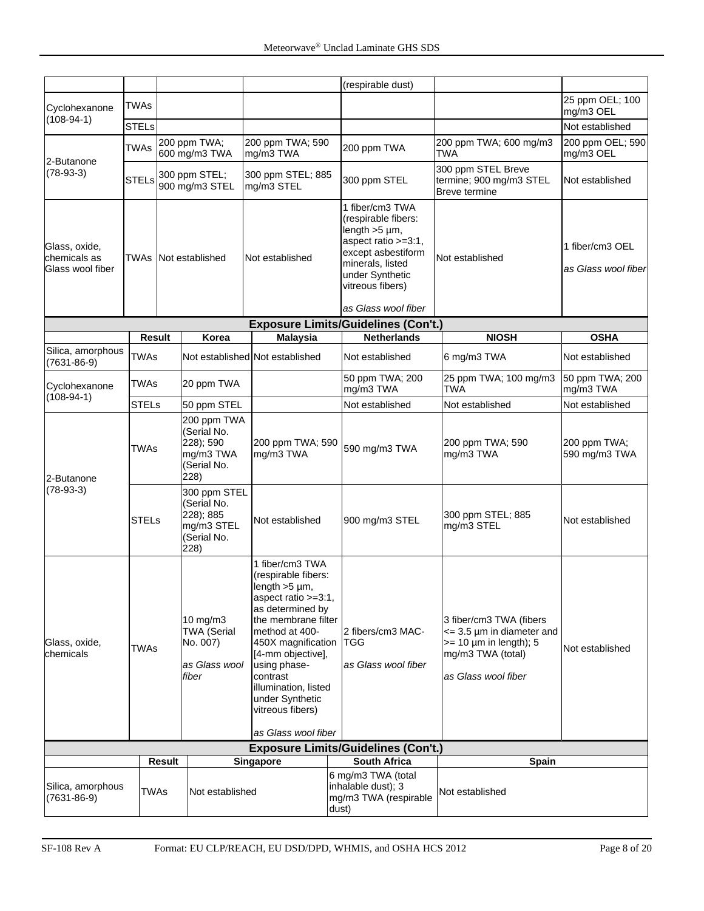|                                                   |                                              |        |                                                                               |                                                                                                                                                                                                                                                                                                            |       | (respirable dust)                                                                                                                                                                            |                                                                                                                                     |                                        |
|---------------------------------------------------|----------------------------------------------|--------|-------------------------------------------------------------------------------|------------------------------------------------------------------------------------------------------------------------------------------------------------------------------------------------------------------------------------------------------------------------------------------------------------|-------|----------------------------------------------------------------------------------------------------------------------------------------------------------------------------------------------|-------------------------------------------------------------------------------------------------------------------------------------|----------------------------------------|
|                                                   |                                              |        |                                                                               |                                                                                                                                                                                                                                                                                                            |       |                                                                                                                                                                                              |                                                                                                                                     | 25 ppm OEL; 100                        |
| Cyclohexanone<br>$(108-94-1)$                     | <b>TWAs</b>                                  |        |                                                                               |                                                                                                                                                                                                                                                                                                            |       |                                                                                                                                                                                              |                                                                                                                                     | mg/m3 OEL                              |
|                                                   | <b>STELs</b>                                 |        |                                                                               |                                                                                                                                                                                                                                                                                                            |       |                                                                                                                                                                                              |                                                                                                                                     | Not established                        |
| 2-Butanone                                        | 200 ppm TWA;<br><b>TWAs</b><br>600 mg/m3 TWA |        |                                                                               | 200 ppm TWA; 590<br>mg/m3 TWA                                                                                                                                                                                                                                                                              |       | 200 ppm TWA                                                                                                                                                                                  | 200 ppm TWA; 600 mg/m3<br>TWA                                                                                                       | 200 ppm OEL; 590<br>mg/m3 OEL          |
| $(78-93-3)$                                       | <b>STELs</b>                                 |        | 300 ppm STEL;<br>900 mg/m3 STEL                                               | 300 ppm STEL; 885<br>mg/m3 STEL                                                                                                                                                                                                                                                                            |       | 300 ppm STEL                                                                                                                                                                                 | 300 ppm STEL Breve<br>termine; 900 mg/m3 STEL<br><b>Breve termine</b>                                                               | Not established                        |
| Glass, oxide,<br>chemicals as<br>Glass wool fiber | TWAs                                         |        | Not established                                                               | Not established                                                                                                                                                                                                                                                                                            |       | 1 fiber/cm3 TWA<br>(respirable fibers:<br>length $>5 \mu m$ ,<br>aspect ratio >=3:1,<br>except asbestiform<br>minerals, listed<br>under Synthetic<br>vitreous fibers)<br>as Glass wool fiber | Not established                                                                                                                     | 1 fiber/cm3 OEL<br>as Glass wool fiber |
|                                                   |                                              |        |                                                                               |                                                                                                                                                                                                                                                                                                            |       | <b>Exposure Limits/Guidelines (Con't.)</b>                                                                                                                                                   |                                                                                                                                     |                                        |
|                                                   | <b>Result</b>                                |        | Korea                                                                         | <b>Malaysia</b>                                                                                                                                                                                                                                                                                            |       | <b>Netherlands</b>                                                                                                                                                                           | <b>NIOSH</b>                                                                                                                        | <b>OSHA</b>                            |
| Silica, amorphous                                 | <b>TWAs</b>                                  |        |                                                                               | Not established Not established                                                                                                                                                                                                                                                                            |       | Not established                                                                                                                                                                              | 6 mg/m3 TWA                                                                                                                         | Not established                        |
| $(7631 - 86 - 9)$<br>Cyclohexanone                | <b>TWAs</b>                                  |        | 20 ppm TWA                                                                    |                                                                                                                                                                                                                                                                                                            |       | 50 ppm TWA; 200                                                                                                                                                                              | 25 ppm TWA; 100 mg/m3                                                                                                               | 50 ppm TWA; 200                        |
| $(108-94-1)$                                      |                                              |        |                                                                               |                                                                                                                                                                                                                                                                                                            |       | mg/m3 TWA                                                                                                                                                                                    | TWA                                                                                                                                 | mg/m3 TWA                              |
|                                                   | <b>STELs</b>                                 |        | 50 ppm STEL                                                                   |                                                                                                                                                                                                                                                                                                            |       | Not established                                                                                                                                                                              | Not established                                                                                                                     | Not established                        |
| 2-Butanone                                        | <b>TWAs</b>                                  |        | 200 ppm TWA<br>(Serial No.<br>228); 590<br>mg/m3 TWA<br>(Serial No.<br>228)   | 200 ppm TWA; 590<br>mg/m3 TWA                                                                                                                                                                                                                                                                              |       | 590 mg/m3 TWA                                                                                                                                                                                | 200 ppm TWA; 590<br>mg/m3 TWA                                                                                                       | 200 ppm TWA;<br>590 mg/m3 TWA          |
| $(78-93-3)$                                       | <b>STELs</b>                                 |        | 300 ppm STEL<br>(Serial No.<br>228); 885<br>mg/m3 STEL<br>(Serial No.<br>228) | Not established                                                                                                                                                                                                                                                                                            |       | 900 mg/m3 STEL                                                                                                                                                                               | 300 ppm STEL; 885<br>mg/m3 STEL                                                                                                     | Not established                        |
| Glass, oxide,<br>chemicals                        | <b>TWAs</b>                                  |        | $10$ mg/m $3$<br><b>TWA (Serial</b><br>No. 007)<br>as Glass wool<br>fiber     | 1 fiber/cm3 TWA<br>(respirable fibers:<br>length $>5$ µm,<br>aspect ratio >=3:1,<br>as determined by<br>the membrane filter<br>method at 400-<br>450X magnification<br>[4-mm objective],<br>using phase-<br>contrast<br>illumination, listed<br>under Synthetic<br>vitreous fibers)<br>as Glass wool fiber |       | 2 fibers/cm3 MAC-<br><b>ITGG</b><br>as Glass wool fiber                                                                                                                                      | 3 fiber/cm3 TWA (fibers<br>$\leq$ 3.5 µm in diameter and<br>$>= 10 \mu m$ in length); 5<br>mg/m3 TWA (total)<br>as Glass wool fiber | Not established                        |
|                                                   |                                              |        |                                                                               |                                                                                                                                                                                                                                                                                                            |       | <b>Exposure Limits/Guidelines (Con't.)</b>                                                                                                                                                   |                                                                                                                                     |                                        |
|                                                   |                                              | Result |                                                                               | <b>Singapore</b>                                                                                                                                                                                                                                                                                           |       | South Africa                                                                                                                                                                                 | <b>Spain</b>                                                                                                                        |                                        |
| Silica, amorphous<br>$(7631 - 86 - 9)$            | TWAs                                         |        | Not established                                                               |                                                                                                                                                                                                                                                                                                            | dust) | 6 mg/m3 TWA (total<br>inhalable dust); 3<br>mg/m3 TWA (respirable                                                                                                                            | Not established                                                                                                                     |                                        |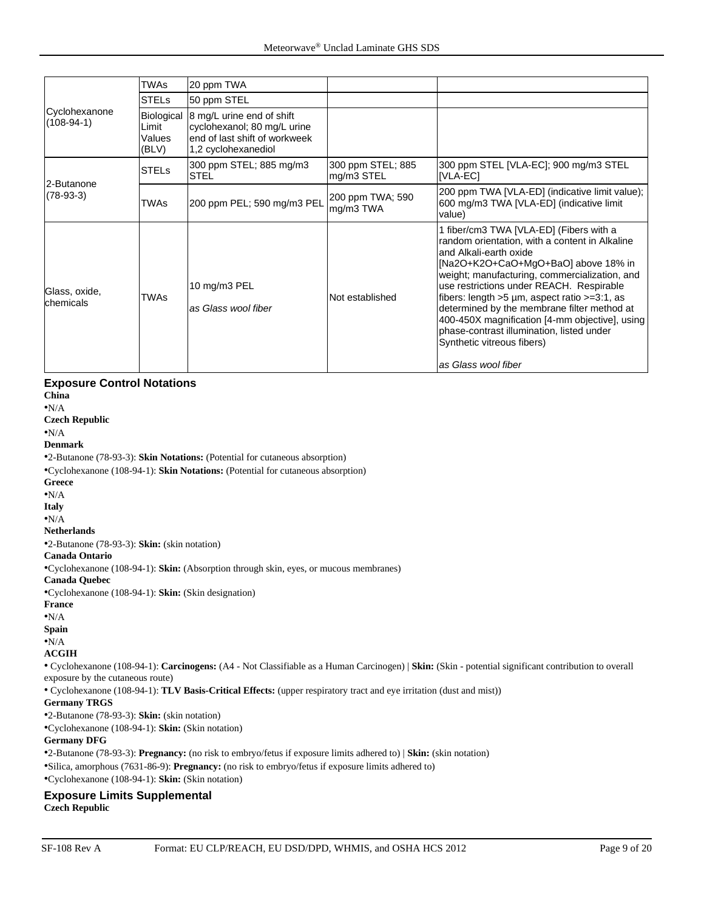|                               | <b>TWAs</b>                            | 20 ppm TWA                                                                                                       |                                 |                                                                                                                                                                                                                                                                                                                                                                                                                                                                                                                     |
|-------------------------------|----------------------------------------|------------------------------------------------------------------------------------------------------------------|---------------------------------|---------------------------------------------------------------------------------------------------------------------------------------------------------------------------------------------------------------------------------------------------------------------------------------------------------------------------------------------------------------------------------------------------------------------------------------------------------------------------------------------------------------------|
|                               | <b>STELs</b>                           | 50 ppm STEL                                                                                                      |                                 |                                                                                                                                                                                                                                                                                                                                                                                                                                                                                                                     |
| Cyclohexanone<br>$(108-94-1)$ | Biological<br>Limit<br>Values<br>(BLV) | 8 mg/L urine end of shift<br>cyclohexanol; 80 mg/L urine<br>end of last shift of workweek<br>1,2 cyclohexanediol |                                 |                                                                                                                                                                                                                                                                                                                                                                                                                                                                                                                     |
| 2-Butanone                    | <b>STELs</b>                           | 300 ppm STEL; 885 mg/m3<br><b>STEL</b>                                                                           | 300 ppm STEL; 885<br>mg/m3 STEL | 300 ppm STEL [VLA-EC]; 900 mg/m3 STEL<br>[VLA-EC]                                                                                                                                                                                                                                                                                                                                                                                                                                                                   |
| $(78-93-3)$                   | <b>TWAs</b>                            | 200 ppm PEL; 590 mg/m3 PEL                                                                                       | 200 ppm TWA; 590<br>mg/m3 TWA   | 200 ppm TWA [VLA-ED] (indicative limit value);<br>600 mg/m3 TWA [VLA-ED] (indicative limit<br>value)                                                                                                                                                                                                                                                                                                                                                                                                                |
| Glass, oxide,<br>chemicals    | <b>TWAs</b>                            | 10 mg/m3 PEL<br>as Glass wool fiber                                                                              | Not established                 | 1 fiber/cm3 TWA [VLA-ED] (Fibers with a<br>random orientation, with a content in Alkaline<br>and Alkali-earth oxide<br>[Na2O+K2O+CaO+MgO+BaO] above 18% in<br>weight; manufacturing, commercialization, and<br>use restrictions under REACH. Respirable<br>fibers: length $>5 \mu m$ , aspect ratio $>=3:1$ , as<br>determined by the membrane filter method at<br>400-450X magnification [4-mm objective], using<br>phase-contrast illumination, listed under<br>Synthetic vitreous fibers)<br>as Glass wool fiber |

#### **Exposure Control Notations**

**China**

•N/A

**Czech Republic**

•N/A **Denmark**

•2-Butanone (78-93-3): **Skin Notations:** (Potential for cutaneous absorption)

•Cyclohexanone (108-94-1): **Skin Notations:** (Potential for cutaneous absorption)

**Greece**

•N/A

**Italy**

•N/A

**Netherlands**

•2-Butanone (78-93-3): **Skin:** (skin notation)

#### **Canada Ontario**

•Cyclohexanone (108-94-1): **Skin:** (Absorption through skin, eyes, or mucous membranes)

#### **Canada Quebec**

•Cyclohexanone (108-94-1): **Skin:** (Skin designation)

**France**

•N/A

**Spain**

•N/A

#### **ACGIH**

• Cyclohexanone (108-94-1): **Carcinogens:** (A4 - Not Classifiable as a Human Carcinogen) | **Skin:** (Skin - potential significant contribution to overall exposure by the cutaneous route)

• Cyclohexanone (108-94-1): **TLV Basis-Critical Effects:** (upper respiratory tract and eye irritation (dust and mist))

#### **Germany TRGS**

•2-Butanone (78-93-3): **Skin:** (skin notation)

•Cyclohexanone (108-94-1): **Skin:** (Skin notation)

#### **Germany DFG**

•2-Butanone (78-93-3): **Pregnancy:** (no risk to embryo/fetus if exposure limits adhered to) | **Skin:** (skin notation) •Silica, amorphous (7631-86-9): **Pregnancy:** (no risk to embryo/fetus if exposure limits adhered to) •Cyclohexanone (108-94-1): **Skin:** (Skin notation)

#### **Exposure Limits Supplemental Czech Republic**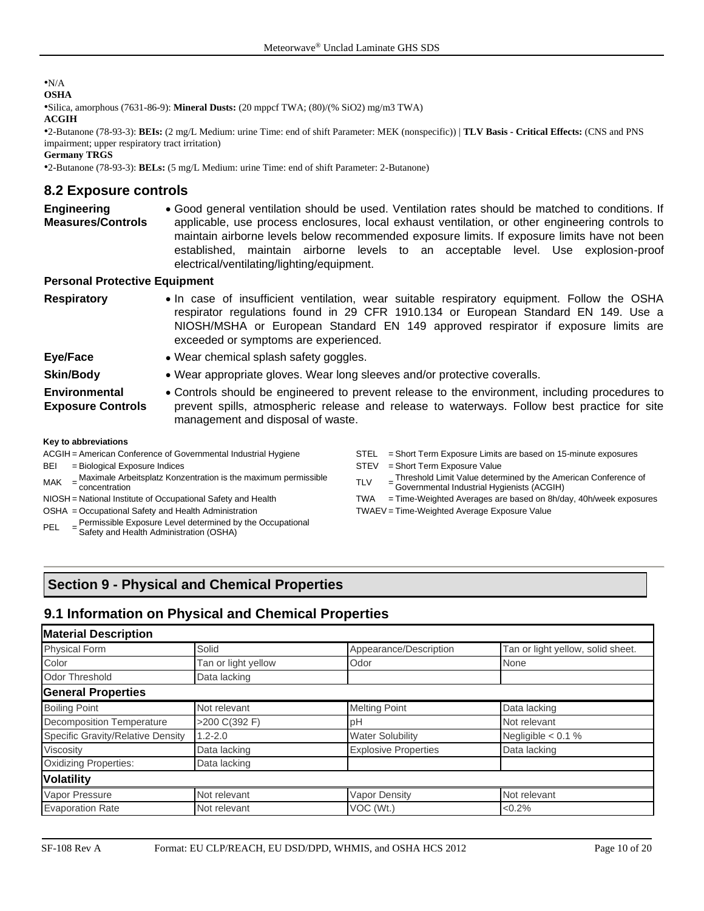#### •N/A **OSHA**

•Silica, amorphous (7631-86-9): **Mineral Dusts:** (20 mppcf TWA; (80)/(% SiO2) mg/m3 TWA) **ACGIH**

•2-Butanone (78-93-3): **BEIs:** (2 mg/L Medium: urine Time: end of shift Parameter: MEK (nonspecific)) | **TLV Basis - Critical Effects:** (CNS and PNS impairment; upper respiratory tract irritation)

**Germany TRGS**

•2-Butanone (78-93-3): **BELs:** (5 mg/L Medium: urine Time: end of shift Parameter: 2-Butanone)

#### **8.2 Exposure controls**

**Engineering Measures/Controls** • Good general ventilation should be used. Ventilation rates should be matched to conditions. If applicable, use process enclosures, local exhaust ventilation, or other engineering controls to maintain airborne levels below recommended exposure limits. If exposure limits have not been established, maintain airborne levels to an acceptable level. Use explosion-proof electrical/ventilating/lighting/equipment.

#### **Personal Protective Equipment**

- **Respiratory** In case of insufficient ventilation, wear suitable respiratory equipment. Follow the OSHA respirator regulations found in 29 CFR 1910.134 or European Standard EN 149. Use a NIOSH/MSHA or European Standard EN 149 approved respirator if exposure limits are exceeded or symptoms are experienced.
- **Eye/Face** Wear chemical splash safety goggles.
- **Skin/Body** Wear appropriate gloves. Wear long sleeves and/or protective coveralls.
- **Environmental Exposure Controls** • Controls should be engineered to prevent release to the environment, including procedures to prevent spills, atmospheric release and release to waterways. Follow best practice for site management and disposal of waste.

#### **Key to abbreviations**

- 
- 
- $\text{MAK}$  =  $\frac{\text{Nicovian}}{\text{concentration}}$ Maximale Arbeitsplatz Konzentration is the maximum permissible  $\begin{array}{ccc} \text{TLV} & = \end{array}$
- 
- OSHA = Occupational Safety and Health Administration TWAEV = Time-Weighted Average Exposure Value
- Permissible Exposure Level determined by the Occupational
- PEL = Safety and Health Administration (OSHA)
- ACGIH = American Conference of Governmental Industrial Hygiene STEL = Short Term Exposure Limits are based on 15-minute exposures
- BEI = Biological Exposure Indices STEV = Short Term Exposure Value
	- Threshold Limit Value determined by the American Conference of
	- Governmental Industrial Hygienists (ACGIH)
- NIOSH = National Institute of Occupational Safety and Health TWA = Time-Weighted Averages are based on 8h/day, 40h/week exposures

# **Section 9 - Physical and Chemical Properties**

# **9.1 Information on Physical and Chemical Properties**

| <b>Material Description</b>       |                     |                             |                                   |
|-----------------------------------|---------------------|-----------------------------|-----------------------------------|
| <b>Physical Form</b>              | Solid               | Appearance/Description      | Tan or light yellow, solid sheet. |
| Color                             | Tan or light yellow | Odor                        | None                              |
| <b>Odor Threshold</b>             | Data lacking        |                             |                                   |
| <b>General Properties</b>         |                     |                             |                                   |
| <b>Boiling Point</b>              | Not relevant        | <b>Melting Point</b>        | Data lacking                      |
| <b>Decomposition Temperature</b>  | >200 C(392 F)       | рH                          | Not relevant                      |
| Specific Gravity/Relative Density | $1.2 - 2.0$         | <b>Water Solubility</b>     | Negligible $< 0.1$ %              |
| <b>Viscosity</b>                  | Data lacking        | <b>Explosive Properties</b> | Data lacking                      |
| <b>Oxidizing Properties:</b>      | Data lacking        |                             |                                   |
| <b>Volatility</b>                 |                     |                             |                                   |
| Vapor Pressure                    | Not relevant        | Vapor Density               | Not relevant                      |
| <b>Evaporation Rate</b>           | Not relevant        | VOC (Wt.)                   | < 0.2%                            |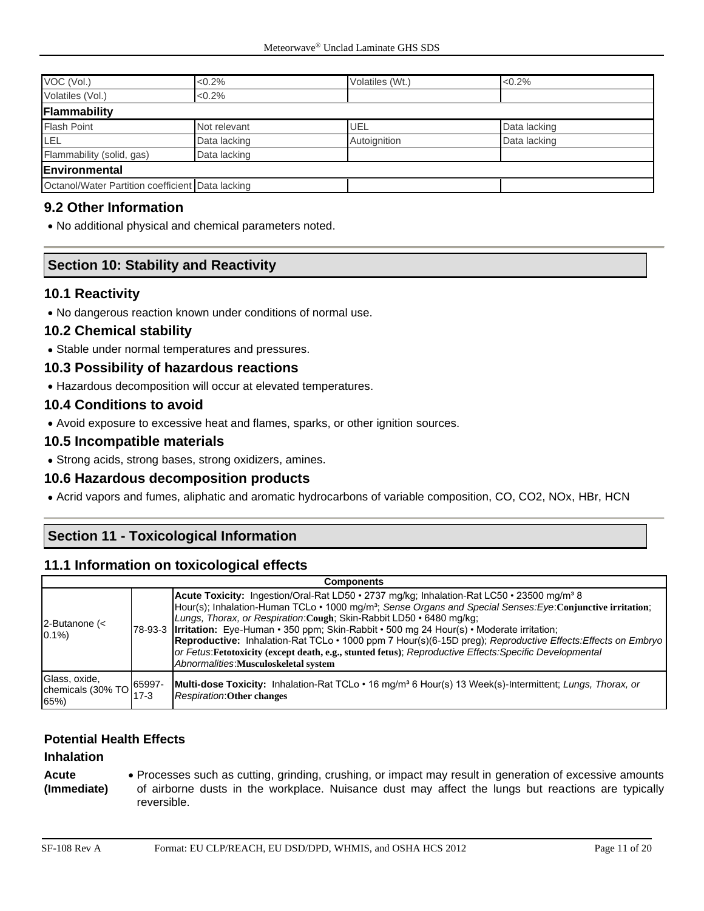| VOC (Vol.)                                       | $< 0.2\%$    | Volatiles (Wt.) | $<0.2\%$     |  |
|--------------------------------------------------|--------------|-----------------|--------------|--|
| Volatiles (Vol.)                                 | $< 0.2\%$    |                 |              |  |
| Flammability                                     |              |                 |              |  |
| <b>Flash Point</b>                               | Not relevant | UEL             | Data lacking |  |
| LEL                                              | Data lacking | Autoignition    | Data lacking |  |
| Flammability (solid, gas)                        | Data lacking |                 |              |  |
| Environmental                                    |              |                 |              |  |
| Octanol/Water Partition coefficient Data lacking |              |                 |              |  |

#### **9.2 Other Information**

• No additional physical and chemical parameters noted.

## **Section 10: Stability and Reactivity**

#### **10.1 Reactivity**

• No dangerous reaction known under conditions of normal use.

#### **10.2 Chemical stability**

• Stable under normal temperatures and pressures.

#### **10.3 Possibility of hazardous reactions**

• Hazardous decomposition will occur at elevated temperatures.

#### **10.4 Conditions to avoid**

• Avoid exposure to excessive heat and flames, sparks, or other ignition sources.

#### **10.5 Incompatible materials**

• Strong acids, strong bases, strong oxidizers, amines.

#### **10.6 Hazardous decomposition products**

• Acrid vapors and fumes, aliphatic and aromatic hydrocarbons of variable composition, CO, CO2, NOx, HBr, HCN

# **Section 11 - Toxicological Information**

#### **11.1 Information on toxicological effects**

|                                                                                                      | <b>Components</b> |                                                                                                                                                                                                                                                                                                                                                                                                                                                                                                                                                                                                                                                                                          |  |  |  |
|------------------------------------------------------------------------------------------------------|-------------------|------------------------------------------------------------------------------------------------------------------------------------------------------------------------------------------------------------------------------------------------------------------------------------------------------------------------------------------------------------------------------------------------------------------------------------------------------------------------------------------------------------------------------------------------------------------------------------------------------------------------------------------------------------------------------------------|--|--|--|
| 2-Butanone (<<br>$0.1\%$                                                                             |                   | <b>Acute Toxicity:</b> Ingestion/Oral-Rat LD50 • 2737 mg/kg; Inhalation-Rat LC50 • 23500 mg/m <sup>3</sup> 8<br>Hour(s); Inhalation-Human TCLo • 1000 mg/m <sup>3</sup> ; Sense Organs and Special Senses: Eye: Conjunctive irritation;<br>Lungs, Thorax, or Respiration: Cough: Skin-Rabbit LD50 • 6480 mg/kg;<br>78-93-3   Irritation: Eye-Human • 350 ppm; Skin-Rabbit • 500 mg 24 Hour(s) • Moderate irritation;<br>Reproductive: Inhalation-Rat TCLo · 1000 ppm 7 Hour(s)(6-15D preg); Reproductive Effects: Effects on Embryo<br>or Fetus: Fetotoxicity (except death, e.g., stunted fetus); Reproductive Effects: Specific Developmental<br>Abnormalities: Musculoskeletal system |  |  |  |
| Glass, oxide,<br>chemicals (30% TO $\Big \begin{array}{c} 65997 - 6 \\ - 6 \end{array}\Big $<br>65%) | 17-3              | Multi-dose Toxicity: Inhalation-Rat TCLo • 16 mg/m <sup>3</sup> 6 Hour(s) 13 Week(s)-Intermittent; Lungs, Thorax, or<br><b>Respiration: Other changes</b>                                                                                                                                                                                                                                                                                                                                                                                                                                                                                                                                |  |  |  |

#### **Potential Health Effects**

#### **Inhalation**

**Acute (Immediate)** • Processes such as cutting, grinding, crushing, or impact may result in generation of excessive amounts of airborne dusts in the workplace. Nuisance dust may affect the lungs but reactions are typically reversible.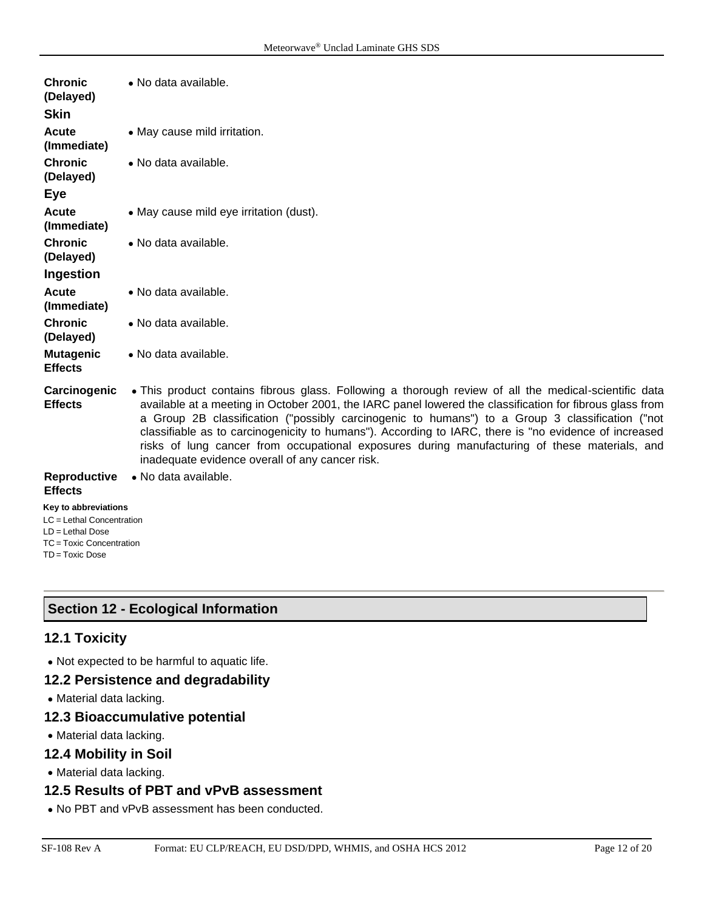| <b>Chronic</b><br>(Delayed)<br><b>Skin</b>                                                                              | • No data available.                                                                                                                                                                                                                                                                                                                                                                                                                                                                                                                                                              |
|-------------------------------------------------------------------------------------------------------------------------|-----------------------------------------------------------------------------------------------------------------------------------------------------------------------------------------------------------------------------------------------------------------------------------------------------------------------------------------------------------------------------------------------------------------------------------------------------------------------------------------------------------------------------------------------------------------------------------|
| Acute<br>(Immediate)                                                                                                    | • May cause mild irritation.                                                                                                                                                                                                                                                                                                                                                                                                                                                                                                                                                      |
| <b>Chronic</b><br>(Delayed)                                                                                             | • No data available.                                                                                                                                                                                                                                                                                                                                                                                                                                                                                                                                                              |
| Eye                                                                                                                     |                                                                                                                                                                                                                                                                                                                                                                                                                                                                                                                                                                                   |
| Acute<br>(Immediate)                                                                                                    | • May cause mild eye irritation (dust).                                                                                                                                                                                                                                                                                                                                                                                                                                                                                                                                           |
| <b>Chronic</b><br>(Delayed)                                                                                             | • No data available.                                                                                                                                                                                                                                                                                                                                                                                                                                                                                                                                                              |
| Ingestion                                                                                                               |                                                                                                                                                                                                                                                                                                                                                                                                                                                                                                                                                                                   |
| Acute<br>(Immediate)                                                                                                    | • No data available.                                                                                                                                                                                                                                                                                                                                                                                                                                                                                                                                                              |
| <b>Chronic</b><br>(Delayed)                                                                                             | • No data available.                                                                                                                                                                                                                                                                                                                                                                                                                                                                                                                                                              |
| <b>Mutagenic</b><br><b>Effects</b>                                                                                      | • No data available.                                                                                                                                                                                                                                                                                                                                                                                                                                                                                                                                                              |
| Carcinogenic<br><b>Effects</b>                                                                                          | • This product contains fibrous glass. Following a thorough review of all the medical-scientific data<br>available at a meeting in October 2001, the IARC panel lowered the classification for fibrous glass from<br>a Group 2B classification ("possibly carcinogenic to humans") to a Group 3 classification ("not<br>classifiable as to carcinogenicity to humans"). According to IARC, there is "no evidence of increased<br>risks of lung cancer from occupational exposures during manufacturing of these materials, and<br>inadequate evidence overall of any cancer risk. |
| Reproductive<br><b>Effects</b>                                                                                          | · No data available.                                                                                                                                                                                                                                                                                                                                                                                                                                                                                                                                                              |
| Key to abbreviations<br>LC = Lethal Concentration<br>$LD = Lethal Doese$<br>TC = Toxic Concentration<br>TD = Toxic Dose |                                                                                                                                                                                                                                                                                                                                                                                                                                                                                                                                                                                   |

# **Section 12 - Ecological Information**

## **12.1 Toxicity**

• Not expected to be harmful to aquatic life.

# **12.2 Persistence and degradability**

• Material data lacking.

# **12.3 Bioaccumulative potential**

• Material data lacking.

# **12.4 Mobility in Soil**

• Material data lacking.

#### **12.5 Results of PBT and vPvB assessment**

• No PBT and vPvB assessment has been conducted.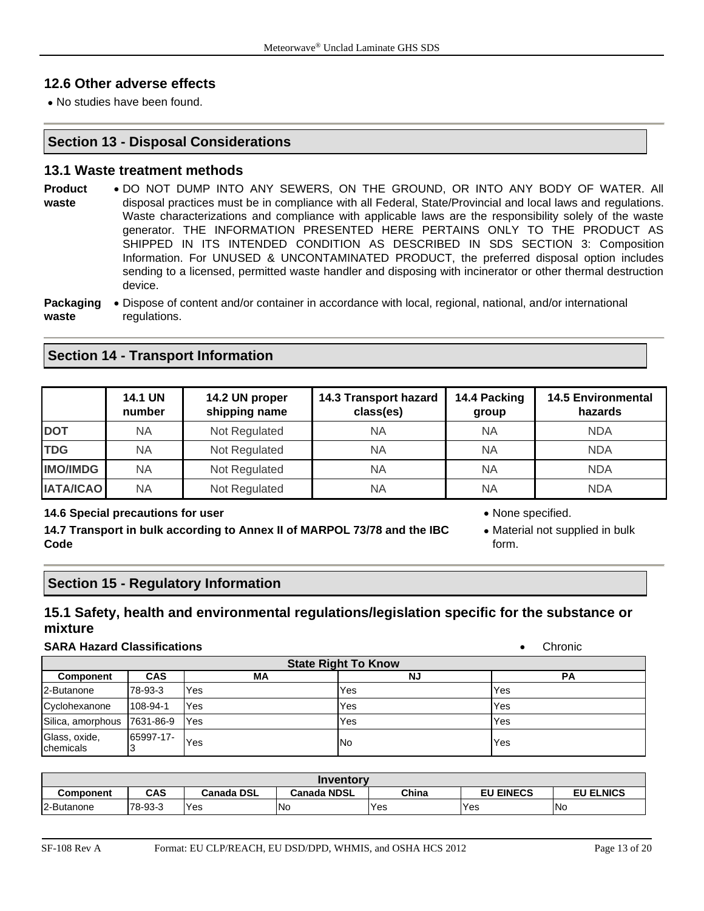## **12.6 Other adverse effects**

• No studies have been found.

#### **Section 13 - Disposal Considerations**

#### **13.1 Waste treatment methods**

- **Product waste** • DO NOT DUMP INTO ANY SEWERS, ON THE GROUND, OR INTO ANY BODY OF WATER. All disposal practices must be in compliance with all Federal, State/Provincial and local laws and regulations. Waste characterizations and compliance with applicable laws are the responsibility solely of the waste generator. THE INFORMATION PRESENTED HERE PERTAINS ONLY TO THE PRODUCT AS SHIPPED IN ITS INTENDED CONDITION AS DESCRIBED IN SDS SECTION 3: Composition Information. For UNUSED & UNCONTAMINATED PRODUCT, the preferred disposal option includes sending to a licensed, permitted waste handler and disposing with incinerator or other thermal destruction device.
- **Packaging**  Dispose of content and/or container in accordance with local, regional, national, and/or international **waste** regulations.

#### **Section 14 - Transport Information**

|                  | <b>14.1 UN</b><br>number | 14.2 UN proper<br>shipping name | 14.3 Transport hazard<br>class(es) | 14.4 Packing<br>group | <b>14.5 Environmental</b><br>hazards |
|------------------|--------------------------|---------------------------------|------------------------------------|-----------------------|--------------------------------------|
| <b>DOT</b>       | NA                       | Not Regulated                   | <b>NA</b>                          | <b>NA</b>             | <b>NDA</b>                           |
| <b>TDG</b>       | ΝA                       | Not Regulated                   | ΝA                                 | <b>NA</b>             | <b>NDA</b>                           |
| <b>IMO/IMDG</b>  | ΝA                       | Not Regulated                   | <b>NA</b>                          | <b>NA</b>             | <b>NDA</b>                           |
| <b>IATA/ICAO</b> | NA                       | Not Regulated                   | <b>NA</b>                          | <b>NA</b>             | <b>NDA</b>                           |

#### **14.6 Special precautions for user** • None specified.

**14.7 Transport in bulk according to Annex II of MARPOL 73/78 and the IBC Code**

- 
- Material not supplied in bulk form.

#### **Section 15 - Regulatory Information**

# **15.1 Safety, health and environmental regulations/legislation specific for the substance or mixture**

#### **SARA Hazard Classifications**

| Chronic |
|---------|
|         |

| <b>State Right To Know</b>  |            |            |           |     |  |
|-----------------------------|------------|------------|-----------|-----|--|
| <b>Component</b>            | <b>CAS</b> | МA         | <b>NJ</b> | РA  |  |
| 2-Butanone                  | 78-93-3    | Yes        | Yes       | Yes |  |
| Cyclohexanone               | 108-94-1   | Yes        | Yes       | Yes |  |
| Silica, amorphous 7631-86-9 |            | <b>Yes</b> | Yes       | Yes |  |
| Glass, oxide,<br>chemicals  | 65997-17-  | Yes        | No        | Yes |  |

| Inventory  |         |                   |                    |       |                  |                  |
|------------|---------|-------------------|--------------------|-------|------------------|------------------|
| Component  | CAS     | <b>Canada DSL</b> | <b>Canada NDSL</b> | China | <b>EU EINECS</b> | <b>EU ELNICS</b> |
| 2-Butanone | 78-93-3 | Yes               | <b>No</b>          | Yes   | <b>Yes</b>       | <b>INo</b>       |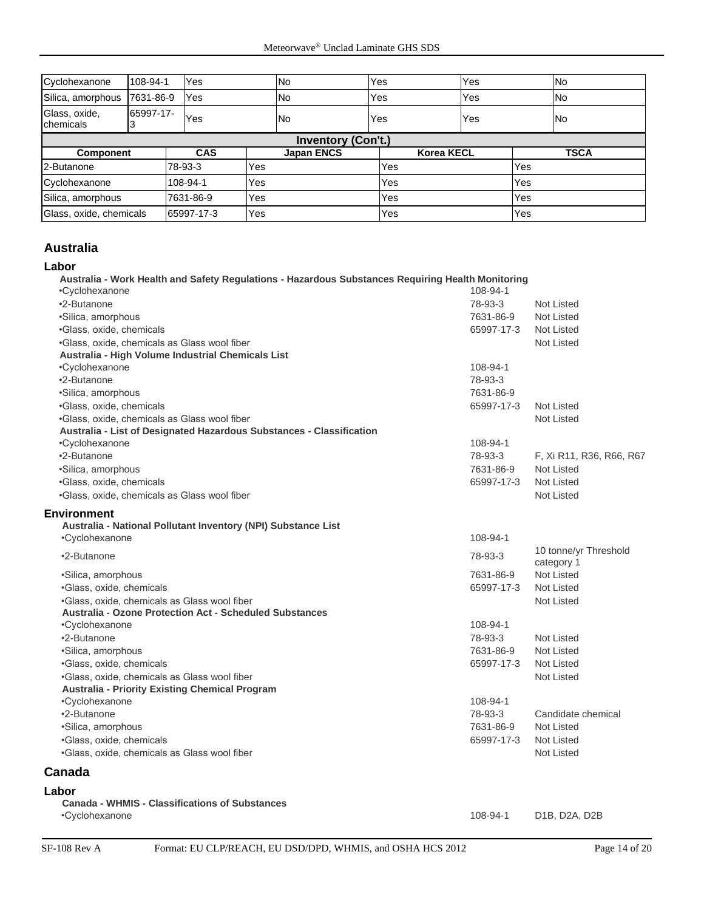| Cyclohexanone              | 108-94-1  | Yes        |     | <b>No</b>         | Yes               | Yes |     | <b>No</b>   |
|----------------------------|-----------|------------|-----|-------------------|-------------------|-----|-----|-------------|
| Silica, amorphous          | 7631-86-9 | Yes        |     | No                | Yes               | Yes |     | <b>No</b>   |
| Glass, oxide,<br>chemicals | 65997-17- | <b>Yes</b> |     | <b>No</b>         | Yes               | Yes |     | <b>No</b>   |
| <b>Inventory (Con't.)</b>  |           |            |     |                   |                   |     |     |             |
| Component                  |           | <b>CAS</b> |     | <b>Japan ENCS</b> | <b>Korea KECL</b> |     |     | <b>TSCA</b> |
| 2-Butanone                 |           | 78-93-3    | Yes |                   | Yes               |     | Yes |             |
| Cyclohexanone              |           | 108-94-1   | Yes |                   | Yes               |     | Yes |             |
| Silica, amorphous          |           | 7631-86-9  | Yes |                   | Yes               |     | Yes |             |
| Glass, oxide, chemicals    |           | 65997-17-3 | Yes |                   | Yes               |     | Yes |             |

## **Australia**

#### **Labor**

| Australia - Work Health and Safety Regulations - Hazardous Substances Requiring Health Monitoring |            |                                     |
|---------------------------------------------------------------------------------------------------|------------|-------------------------------------|
| •Cyclohexanone                                                                                    | 108-94-1   |                                     |
| •2-Butanone                                                                                       | 78-93-3    | <b>Not Listed</b>                   |
| ·Silica, amorphous                                                                                | 7631-86-9  | Not Listed                          |
| ·Glass, oxide, chemicals                                                                          | 65997-17-3 | Not Listed                          |
| .Glass, oxide, chemicals as Glass wool fiber                                                      |            | <b>Not Listed</b>                   |
| Australia - High Volume Industrial Chemicals List                                                 |            |                                     |
| •Cyclohexanone                                                                                    | 108-94-1   |                                     |
| •2-Butanone                                                                                       | 78-93-3    |                                     |
| ·Silica, amorphous                                                                                | 7631-86-9  |                                     |
| ·Glass, oxide, chemicals                                                                          | 65997-17-3 | Not Listed                          |
| .Glass, oxide, chemicals as Glass wool fiber                                                      |            | <b>Not Listed</b>                   |
| Australia - List of Designated Hazardous Substances - Classification                              |            |                                     |
| •Cyclohexanone                                                                                    | 108-94-1   |                                     |
| •2-Butanone                                                                                       | 78-93-3    | F, Xi R11, R36, R66, R67            |
| ·Silica, amorphous                                                                                | 7631-86-9  | <b>Not Listed</b>                   |
| ·Glass, oxide, chemicals                                                                          | 65997-17-3 | Not Listed                          |
| .Glass, oxide, chemicals as Glass wool fiber                                                      |            | <b>Not Listed</b>                   |
| <b>Environment</b>                                                                                |            |                                     |
| Australia - National Pollutant Inventory (NPI) Substance List                                     |            |                                     |
| •Cyclohexanone                                                                                    | 108-94-1   |                                     |
| •2-Butanone                                                                                       | 78-93-3    | 10 tonne/yr Threshold<br>category 1 |
| •Silica, amorphous                                                                                | 7631-86-9  | Not Listed                          |
| ·Glass, oxide, chemicals                                                                          | 65997-17-3 | Not Listed                          |
| .Glass, oxide, chemicals as Glass wool fiber                                                      |            | <b>Not Listed</b>                   |
| <b>Australia - Ozone Protection Act - Scheduled Substances</b>                                    |            |                                     |
| •Cyclohexanone                                                                                    | 108-94-1   |                                     |
| •2-Butanone                                                                                       | 78-93-3    | <b>Not Listed</b>                   |
| ·Silica, amorphous                                                                                | 7631-86-9  | Not Listed                          |
| ·Glass, oxide, chemicals                                                                          | 65997-17-3 | Not Listed                          |
| .Glass, oxide, chemicals as Glass wool fiber                                                      |            | <b>Not Listed</b>                   |
| <b>Australia - Priority Existing Chemical Program</b>                                             |            |                                     |
| •Cyclohexanone                                                                                    | 108-94-1   |                                     |
| •2-Butanone                                                                                       | 78-93-3    | Candidate chemical                  |
| ·Silica, amorphous                                                                                | 7631-86-9  | Not Listed                          |
| ·Glass, oxide, chemicals                                                                          | 65997-17-3 | <b>Not Listed</b>                   |
| •Glass, oxide, chemicals as Glass wool fiber                                                      |            | <b>Not Listed</b>                   |
| Canada                                                                                            |            |                                     |
| Labor                                                                                             |            |                                     |

#### **Canada - WHMIS - Classifications of Substances** •Cyclohexanone 108-94-1 D1B, D2A, D2B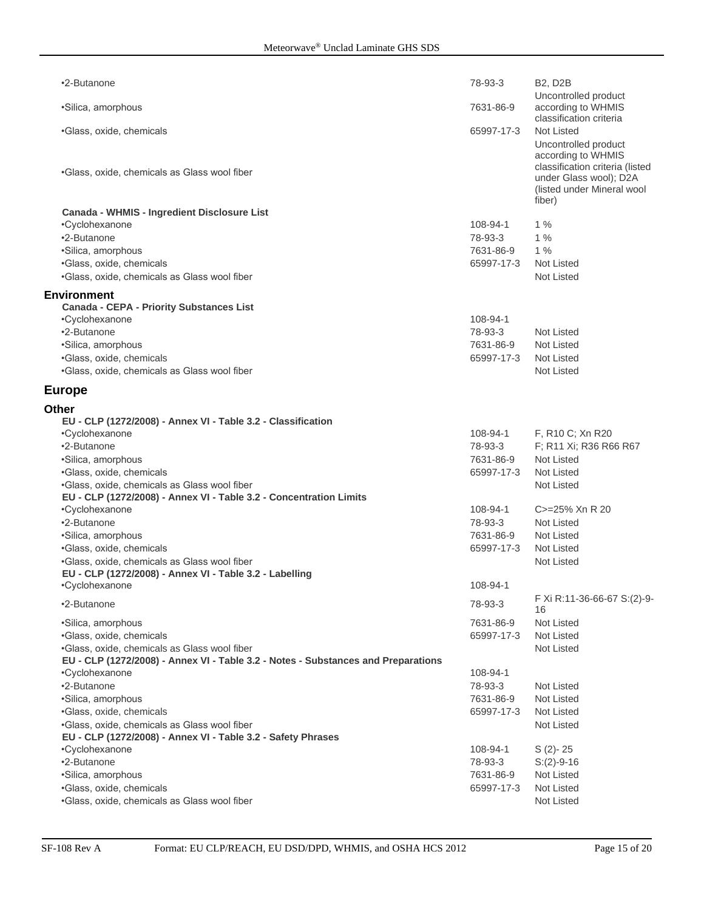| •2-Butanone                                                                                                                       | 78-93-3                 | <b>B2, D2B</b>                                                                                    |
|-----------------------------------------------------------------------------------------------------------------------------------|-------------------------|---------------------------------------------------------------------------------------------------|
| •Silica, amorphous                                                                                                                | 7631-86-9               | Uncontrolled product<br>according to WHMIS<br>classification criteria                             |
| •Glass, oxide, chemicals                                                                                                          | 65997-17-3              | Not Listed<br>Uncontrolled product<br>according to WHMIS                                          |
| •Glass, oxide, chemicals as Glass wool fiber                                                                                      |                         | classification criteria (listed<br>under Glass wool); D2A<br>(listed under Mineral wool<br>fiber) |
| Canada - WHMIS - Ingredient Disclosure List                                                                                       |                         |                                                                                                   |
| •Cyclohexanone                                                                                                                    | 108-94-1                | $1\%$                                                                                             |
| •2-Butanone                                                                                                                       | 78-93-3                 | $1\%$                                                                                             |
| •Silica, amorphous                                                                                                                | 7631-86-9               | 1%                                                                                                |
| ·Glass, oxide, chemicals                                                                                                          | 65997-17-3              | <b>Not Listed</b>                                                                                 |
| .Glass, oxide, chemicals as Glass wool fiber                                                                                      |                         | <b>Not Listed</b>                                                                                 |
| <b>Environment</b><br><b>Canada - CEPA - Priority Substances List</b>                                                             |                         |                                                                                                   |
| •Cyclohexanone                                                                                                                    | 108-94-1                |                                                                                                   |
| •2-Butanone                                                                                                                       | 78-93-3                 | <b>Not Listed</b>                                                                                 |
| ·Silica, amorphous                                                                                                                | 7631-86-9               | Not Listed                                                                                        |
| ·Glass, oxide, chemicals                                                                                                          | 65997-17-3              | <b>Not Listed</b>                                                                                 |
| .Glass, oxide, chemicals as Glass wool fiber                                                                                      |                         | <b>Not Listed</b>                                                                                 |
| <b>Europe</b>                                                                                                                     |                         |                                                                                                   |
| <b>Other</b>                                                                                                                      |                         |                                                                                                   |
| EU - CLP (1272/2008) - Annex VI - Table 3.2 - Classification                                                                      |                         |                                                                                                   |
| •Cyclohexanone                                                                                                                    | 108-94-1                | F, R10 C; Xn R20                                                                                  |
| •2-Butanone                                                                                                                       | 78-93-3                 | F; R11 Xi; R36 R66 R67                                                                            |
| ·Silica, amorphous                                                                                                                | 7631-86-9               | <b>Not Listed</b>                                                                                 |
| ·Glass, oxide, chemicals                                                                                                          | 65997-17-3              | Not Listed                                                                                        |
| .Glass, oxide, chemicals as Glass wool fiber                                                                                      |                         | <b>Not Listed</b>                                                                                 |
| EU - CLP (1272/2008) - Annex VI - Table 3.2 - Concentration Limits<br>•Cyclohexanone                                              | 108-94-1                | C>=25% Xn R 20                                                                                    |
| •2-Butanone                                                                                                                       | 78-93-3                 | Not Listed                                                                                        |
| •Silica, amorphous                                                                                                                | 7631-86-9               | <b>Not Listed</b>                                                                                 |
| ·Glass, oxide, chemicals                                                                                                          | 65997-17-3              | Not Listed                                                                                        |
| .Glass, oxide, chemicals as Glass wool fiber                                                                                      |                         | <b>Not Listed</b>                                                                                 |
| EU - CLP (1272/2008) - Annex VI - Table 3.2 - Labelling                                                                           |                         |                                                                                                   |
| •Cyclohexanone                                                                                                                    | 108-94-1                |                                                                                                   |
| •2-Butanone                                                                                                                       | 78-93-3                 | F Xi R:11-36-66-67 S:(2)-9-<br>16                                                                 |
| ·Silica, amorphous                                                                                                                | 7631-86-9               | Not Listed                                                                                        |
| ·Glass, oxide, chemicals                                                                                                          | 65997-17-3              | <b>Not Listed</b>                                                                                 |
| .Glass, oxide, chemicals as Glass wool fiber<br>EU - CLP (1272/2008) - Annex VI - Table 3.2 - Notes - Substances and Preparations |                         | Not Listed                                                                                        |
| •Cyclohexanone                                                                                                                    | 108-94-1                |                                                                                                   |
| •2-Butanone                                                                                                                       | 78-93-3                 | Not Listed                                                                                        |
| ·Silica, amorphous                                                                                                                | 7631-86-9               | Not Listed                                                                                        |
| ·Glass, oxide, chemicals                                                                                                          | 65997-17-3              | Not Listed                                                                                        |
| •Glass, oxide, chemicals as Glass wool fiber                                                                                      |                         | Not Listed                                                                                        |
| EU - CLP (1272/2008) - Annex VI - Table 3.2 - Safety Phrases                                                                      |                         |                                                                                                   |
| •Cyclohexanone                                                                                                                    | 108-94-1                | $S(2)-25$                                                                                         |
| •2-Butanone                                                                                                                       | 78-93-3                 | $S:(2)-9-16$                                                                                      |
| ·Silica, amorphous<br>·Glass, oxide, chemicals                                                                                    | 7631-86-9<br>65997-17-3 | Not Listed<br>Not Listed                                                                          |
| .Glass, oxide, chemicals as Glass wool fiber                                                                                      |                         | Not Listed                                                                                        |
|                                                                                                                                   |                         |                                                                                                   |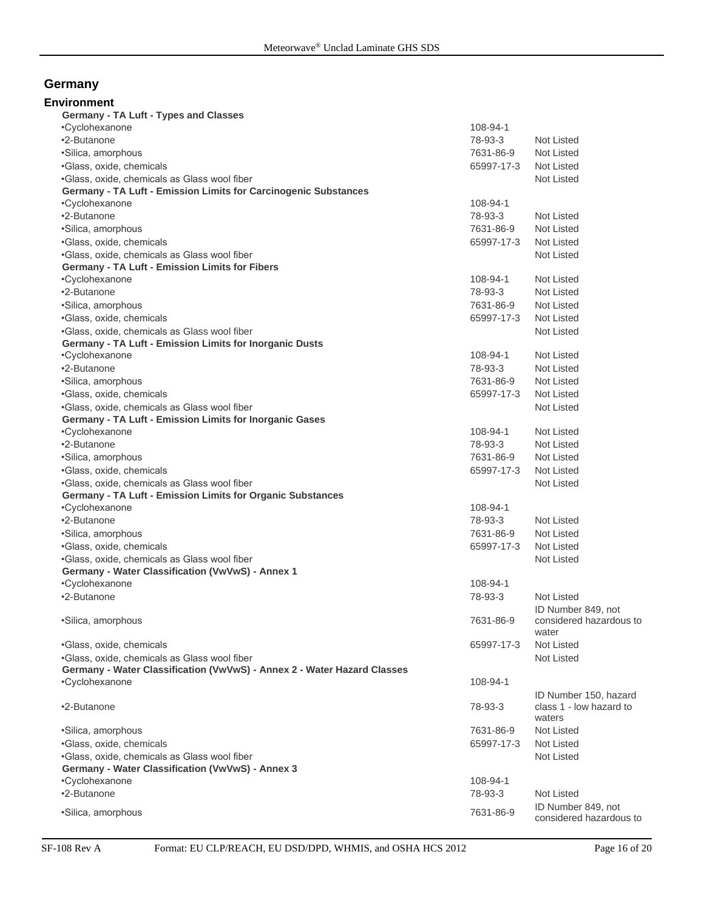# **Germany**

| Environment<br>Germany - TA Luft - Types and Classes                     |            |                                               |
|--------------------------------------------------------------------------|------------|-----------------------------------------------|
| •Cyclohexanone                                                           | 108-94-1   |                                               |
| •2-Butanone                                                              | 78-93-3    | Not Listed                                    |
| ·Silica, amorphous                                                       | 7631-86-9  | Not Listed                                    |
| ·Glass, oxide, chemicals                                                 | 65997-17-3 | Not Listed                                    |
| .Glass, oxide, chemicals as Glass wool fiber                             |            | Not Listed                                    |
| Germany - TA Luft - Emission Limits for Carcinogenic Substances          |            |                                               |
| •Cyclohexanone                                                           | 108-94-1   |                                               |
| •2-Butanone                                                              | 78-93-3    | Not Listed                                    |
| •Silica, amorphous                                                       | 7631-86-9  | Not Listed                                    |
| ·Glass, oxide, chemicals                                                 | 65997-17-3 | Not Listed                                    |
| .Glass, oxide, chemicals as Glass wool fiber                             |            | Not Listed                                    |
| Germany - TA Luft - Emission Limits for Fibers                           |            |                                               |
| •Cyclohexanone                                                           | 108-94-1   | Not Listed                                    |
| •2-Butanone                                                              | 78-93-3    | Not Listed                                    |
| ·Silica, amorphous                                                       | 7631-86-9  | Not Listed                                    |
| ·Glass, oxide, chemicals                                                 | 65997-17-3 | Not Listed                                    |
| .Glass, oxide, chemicals as Glass wool fiber                             |            | Not Listed                                    |
| Germany - TA Luft - Emission Limits for Inorganic Dusts                  |            |                                               |
| •Cyclohexanone                                                           | 108-94-1   | Not Listed                                    |
| •2-Butanone                                                              | 78-93-3    | Not Listed                                    |
| ·Silica, amorphous                                                       | 7631-86-9  | Not Listed                                    |
| ·Glass, oxide, chemicals                                                 | 65997-17-3 | Not Listed                                    |
| .Glass, oxide, chemicals as Glass wool fiber                             |            | Not Listed                                    |
| Germany - TA Luft - Emission Limits for Inorganic Gases                  |            |                                               |
| •Cyclohexanone                                                           | 108-94-1   | Not Listed                                    |
| •2-Butanone                                                              | 78-93-3    | Not Listed                                    |
| ·Silica, amorphous                                                       | 7631-86-9  | Not Listed                                    |
| ·Glass, oxide, chemicals                                                 | 65997-17-3 | Not Listed                                    |
| .Glass, oxide, chemicals as Glass wool fiber                             |            | Not Listed                                    |
| Germany - TA Luft - Emission Limits for Organic Substances               | 108-94-1   |                                               |
| •Cyclohexanone<br>•2-Butanone                                            |            | Not Listed                                    |
|                                                                          | 78-93-3    | Not Listed                                    |
| ·Silica, amorphous                                                       | 7631-86-9  | Not Listed                                    |
| ·Glass, oxide, chemicals<br>.Glass, oxide, chemicals as Glass wool fiber | 65997-17-3 | Not Listed                                    |
| Germany - Water Classification (VwVwS) - Annex 1                         |            |                                               |
| •Cyclohexanone                                                           | 108-94-1   |                                               |
| •2-Butanone                                                              | 78-93-3    | Not Listed                                    |
|                                                                          |            | ID Number 849, not                            |
| ·Silica, amorphous                                                       | 7631-86-9  | considered hazardous to<br>water              |
| ·Glass, oxide, chemicals                                                 | 65997-17-3 | Not Listed                                    |
| .Glass, oxide, chemicals as Glass wool fiber                             |            | Not Listed                                    |
| Germany - Water Classification (VwVwS) - Annex 2 - Water Hazard Classes  |            |                                               |
| •Cyclohexanone                                                           | 108-94-1   |                                               |
|                                                                          |            | ID Number 150, hazard                         |
| •2-Butanone                                                              | 78-93-3    | class 1 - low hazard to<br>waters             |
| •Silica, amorphous                                                       | 7631-86-9  | Not Listed                                    |
| ·Glass, oxide, chemicals                                                 | 65997-17-3 | Not Listed                                    |
| .Glass, oxide, chemicals as Glass wool fiber                             |            | Not Listed                                    |
| Germany - Water Classification (VwVwS) - Annex 3                         |            |                                               |
| •Cyclohexanone                                                           | 108-94-1   |                                               |
| •2-Butanone                                                              | 78-93-3    | Not Listed                                    |
| •Silica, amorphous                                                       | 7631-86-9  | ID Number 849, not<br>considered hazardous to |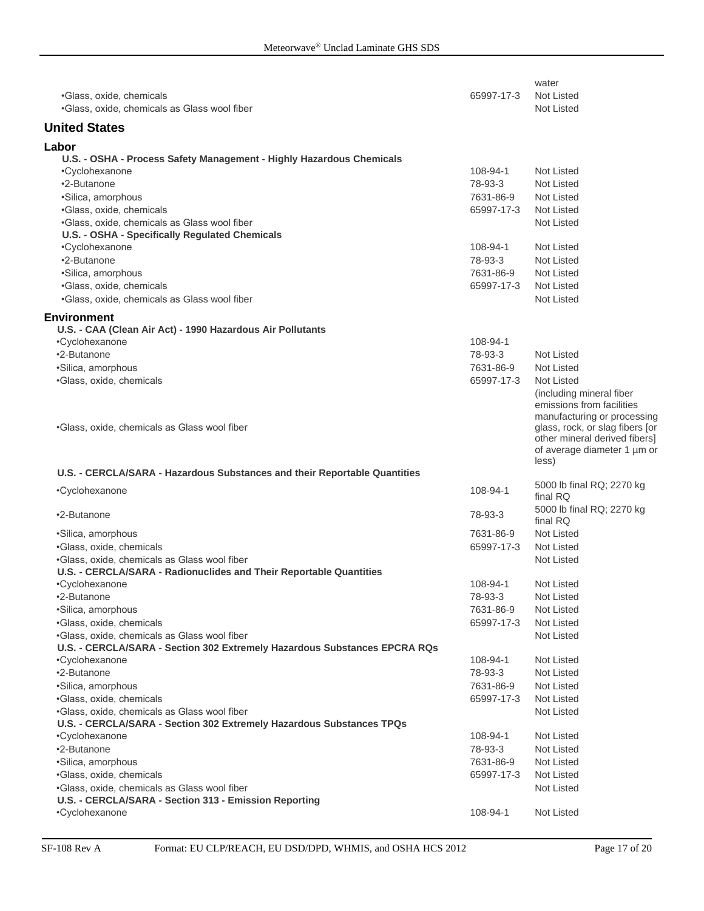|                                                                           |            | water                           |
|---------------------------------------------------------------------------|------------|---------------------------------|
| •Glass, oxide, chemicals                                                  | 65997-17-3 | Not Listed                      |
| .Glass, oxide, chemicals as Glass wool fiber                              |            | <b>Not Listed</b>               |
| <b>United States</b>                                                      |            |                                 |
| Labor                                                                     |            |                                 |
| U.S. - OSHA - Process Safety Management - Highly Hazardous Chemicals      |            |                                 |
| •Cyclohexanone                                                            | 108-94-1   | <b>Not Listed</b>               |
| •2-Butanone                                                               | 78-93-3    | <b>Not Listed</b>               |
| •Silica, amorphous                                                        | 7631-86-9  | <b>Not Listed</b>               |
| ·Glass, oxide, chemicals                                                  | 65997-17-3 | <b>Not Listed</b>               |
| .Glass, oxide, chemicals as Glass wool fiber                              |            | <b>Not Listed</b>               |
| U.S. - OSHA - Specifically Regulated Chemicals                            |            |                                 |
| •Cyclohexanone                                                            | 108-94-1   | <b>Not Listed</b>               |
| •2-Butanone                                                               | 78-93-3    | Not Listed                      |
| ·Silica, amorphous                                                        | 7631-86-9  | Not Listed                      |
| ·Glass, oxide, chemicals                                                  | 65997-17-3 | <b>Not Listed</b>               |
| •Glass, oxide, chemicals as Glass wool fiber                              |            | <b>Not Listed</b>               |
| <b>Environment</b>                                                        |            |                                 |
| U.S. - CAA (Clean Air Act) - 1990 Hazardous Air Pollutants                |            |                                 |
| •Cyclohexanone                                                            | 108-94-1   |                                 |
| •2-Butanone                                                               | 78-93-3    | Not Listed                      |
| ·Silica, amorphous                                                        | 7631-86-9  | <b>Not Listed</b>               |
| •Glass, oxide, chemicals                                                  | 65997-17-3 | <b>Not Listed</b>               |
|                                                                           |            | (including mineral fiber        |
|                                                                           |            | emissions from facilities       |
|                                                                           |            | manufacturing or processing     |
| •Glass, oxide, chemicals as Glass wool fiber                              |            | glass, rock, or slag fibers [or |
|                                                                           |            | other mineral derived fibers]   |
|                                                                           |            | of average diameter 1 µm or     |
| U.S. - CERCLA/SARA - Hazardous Substances and their Reportable Quantities |            | less)                           |
|                                                                           |            | 5000 lb final RQ; 2270 kg       |
| •Cyclohexanone                                                            | 108-94-1   | final RQ                        |
| •2-Butanone                                                               |            | 5000 lb final RQ; 2270 kg       |
|                                                                           | 78-93-3    | final RQ                        |
| ·Silica, amorphous                                                        | 7631-86-9  | Not Listed                      |
| •Glass, oxide, chemicals                                                  | 65997-17-3 | Not Listed                      |
| .Glass, oxide, chemicals as Glass wool fiber                              |            | Not Listed                      |
| U.S. - CERCLA/SARA - Radionuclides and Their Reportable Quantities        |            |                                 |
| ∙Cyclohexanone                                                            | 108-94-1   | Not Listed                      |
| •2-Butanone                                                               | 78-93-3    | Not Listed                      |
| ·Silica, amorphous                                                        | 7631-86-9  | Not Listed                      |
| ·Glass, oxide, chemicals                                                  | 65997-17-3 | Not Listed                      |
| .Glass, oxide, chemicals as Glass wool fiber                              |            | <b>Not Listed</b>               |
| U.S. - CERCLA/SARA - Section 302 Extremely Hazardous Substances EPCRA RQs |            |                                 |
| •Cyclohexanone                                                            | 108-94-1   | Not Listed                      |
| •2-Butanone                                                               | 78-93-3    | Not Listed                      |
| ·Silica, amorphous                                                        | 7631-86-9  | Not Listed                      |
| ·Glass, oxide, chemicals                                                  | 65997-17-3 | Not Listed                      |
| .Glass, oxide, chemicals as Glass wool fiber                              |            | Not Listed                      |
| U.S. - CERCLA/SARA - Section 302 Extremely Hazardous Substances TPQs      |            |                                 |
| •Cyclohexanone                                                            | 108-94-1   | Not Listed                      |
| •2-Butanone                                                               | 78-93-3    | Not Listed                      |
| ·Silica, amorphous                                                        | 7631-86-9  | Not Listed                      |
| ·Glass, oxide, chemicals                                                  | 65997-17-3 | Not Listed                      |
| .Glass, oxide, chemicals as Glass wool fiber                              |            | Not Listed                      |
| U.S. - CERCLA/SARA - Section 313 - Emission Reporting                     |            |                                 |
| •Cyclohexanone                                                            | 108-94-1   | Not Listed                      |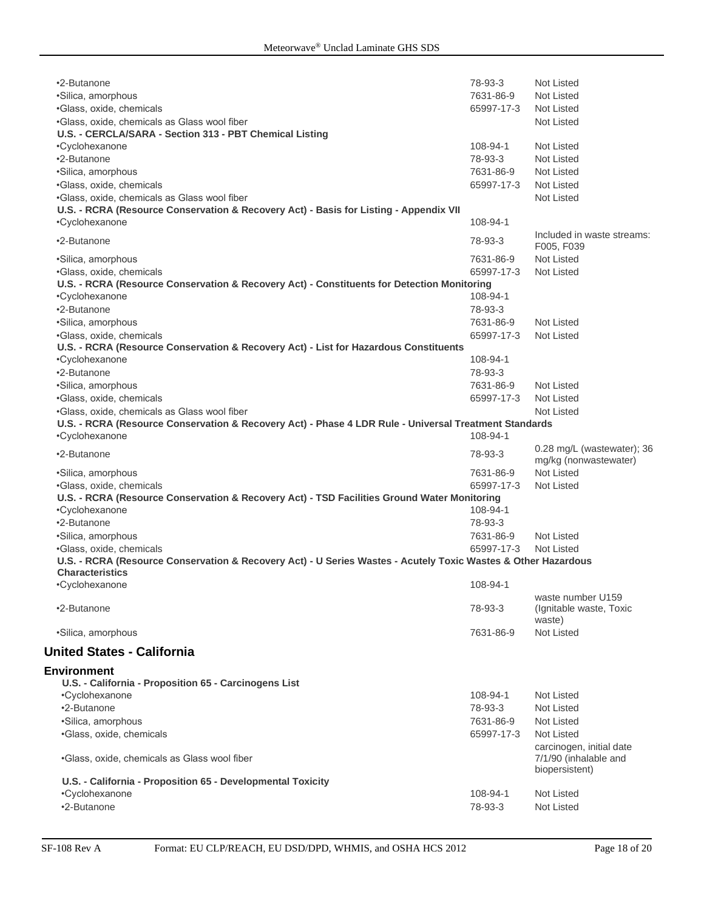| •2-Butanone                                                                                                   | 78-93-3    | <b>Not Listed</b>            |  |  |
|---------------------------------------------------------------------------------------------------------------|------------|------------------------------|--|--|
| •Silica, amorphous                                                                                            | 7631-86-9  | Not Listed                   |  |  |
| ·Glass, oxide, chemicals                                                                                      | 65997-17-3 | Not Listed                   |  |  |
| .Glass, oxide, chemicals as Glass wool fiber                                                                  |            | Not Listed                   |  |  |
| U.S. - CERCLA/SARA - Section 313 - PBT Chemical Listing                                                       |            |                              |  |  |
| •Cyclohexanone                                                                                                | 108-94-1   | Not Listed                   |  |  |
|                                                                                                               |            |                              |  |  |
| •2-Butanone                                                                                                   | 78-93-3    | Not Listed                   |  |  |
| •Silica, amorphous                                                                                            | 7631-86-9  | Not Listed                   |  |  |
| ·Glass, oxide, chemicals                                                                                      | 65997-17-3 | Not Listed                   |  |  |
| .Glass, oxide, chemicals as Glass wool fiber                                                                  |            | Not Listed                   |  |  |
| U.S. - RCRA (Resource Conservation & Recovery Act) - Basis for Listing - Appendix VII                         |            |                              |  |  |
| •Cyclohexanone                                                                                                | 108-94-1   |                              |  |  |
| •2-Butanone                                                                                                   | 78-93-3    | Included in waste streams:   |  |  |
|                                                                                                               |            | F005, F039                   |  |  |
| •Silica, amorphous                                                                                            | 7631-86-9  | Not Listed                   |  |  |
| ·Glass, oxide, chemicals                                                                                      | 65997-17-3 | Not Listed                   |  |  |
| U.S. - RCRA (Resource Conservation & Recovery Act) - Constituents for Detection Monitoring                    |            |                              |  |  |
| •Cyclohexanone                                                                                                | 108-94-1   |                              |  |  |
| •2-Butanone                                                                                                   | 78-93-3    |                              |  |  |
| ·Silica, amorphous                                                                                            | 7631-86-9  | <b>Not Listed</b>            |  |  |
| ·Glass, oxide, chemicals                                                                                      | 65997-17-3 | <b>Not Listed</b>            |  |  |
| U.S. - RCRA (Resource Conservation & Recovery Act) - List for Hazardous Constituents                          |            |                              |  |  |
| •Cyclohexanone                                                                                                | 108-94-1   |                              |  |  |
| •2-Butanone                                                                                                   | 78-93-3    |                              |  |  |
| ·Silica, amorphous                                                                                            | 7631-86-9  | Not Listed                   |  |  |
| ·Glass, oxide, chemicals                                                                                      | 65997-17-3 | <b>Not Listed</b>            |  |  |
| .Glass, oxide, chemicals as Glass wool fiber                                                                  |            | Not Listed                   |  |  |
| U.S. - RCRA (Resource Conservation & Recovery Act) - Phase 4 LDR Rule - Universal Treatment Standards         |            |                              |  |  |
| •Cyclohexanone                                                                                                | 108-94-1   |                              |  |  |
|                                                                                                               |            | $0.28$ mg/L (wastewater); 36 |  |  |
| •2-Butanone                                                                                                   | 78-93-3    | mg/kg (nonwastewater)        |  |  |
| •Silica, amorphous                                                                                            | 7631-86-9  | Not Listed                   |  |  |
| ·Glass, oxide, chemicals                                                                                      | 65997-17-3 | Not Listed                   |  |  |
| U.S. - RCRA (Resource Conservation & Recovery Act) - TSD Facilities Ground Water Monitoring                   |            |                              |  |  |
| •Cyclohexanone                                                                                                | 108-94-1   |                              |  |  |
| •2-Butanone                                                                                                   | 78-93-3    |                              |  |  |
| ·Silica, amorphous                                                                                            | 7631-86-9  | Not Listed                   |  |  |
| •Glass, oxide, chemicals                                                                                      | 65997-17-3 | <b>Not Listed</b>            |  |  |
| U.S. - RCRA (Resource Conservation & Recovery Act) - U Series Wastes - Acutely Toxic Wastes & Other Hazardous |            |                              |  |  |
| <b>Characteristics</b>                                                                                        |            |                              |  |  |
| •Cyclohexanone                                                                                                | 108-94-1   |                              |  |  |
|                                                                                                               |            | waste number U159            |  |  |
| •2-Butanone                                                                                                   | 78-93-3    | (Ignitable waste, Toxic      |  |  |
|                                                                                                               |            | waste)                       |  |  |
| •Silica, amorphous                                                                                            | 7631-86-9  | <b>Not Listed</b>            |  |  |
|                                                                                                               |            |                              |  |  |
| <b>United States - California</b>                                                                             |            |                              |  |  |
| <b>Environment</b>                                                                                            |            |                              |  |  |
| U.S. - California - Proposition 65 - Carcinogens List                                                         |            |                              |  |  |
| •Cyclohexanone                                                                                                | 108-94-1   | Not Listed                   |  |  |
| •2-Butanone                                                                                                   | 78-93-3    | Not Listed                   |  |  |
| ·Silica, amorphous                                                                                            | 7631-86-9  | Not Listed                   |  |  |
| ·Glass, oxide, chemicals                                                                                      | 65997-17-3 | Not Listed                   |  |  |
|                                                                                                               |            | carcinogen, initial date     |  |  |
| .Glass, oxide, chemicals as Glass wool fiber                                                                  |            | 7/1/90 (inhalable and        |  |  |
|                                                                                                               |            | biopersistent)               |  |  |
| U.S. - California - Proposition 65 - Developmental Toxicity                                                   |            |                              |  |  |
| •Cyclohexanone                                                                                                | 108-94-1   | Not Listed                   |  |  |
| •2-Butanone                                                                                                   | 78-93-3    | Not Listed                   |  |  |
|                                                                                                               |            |                              |  |  |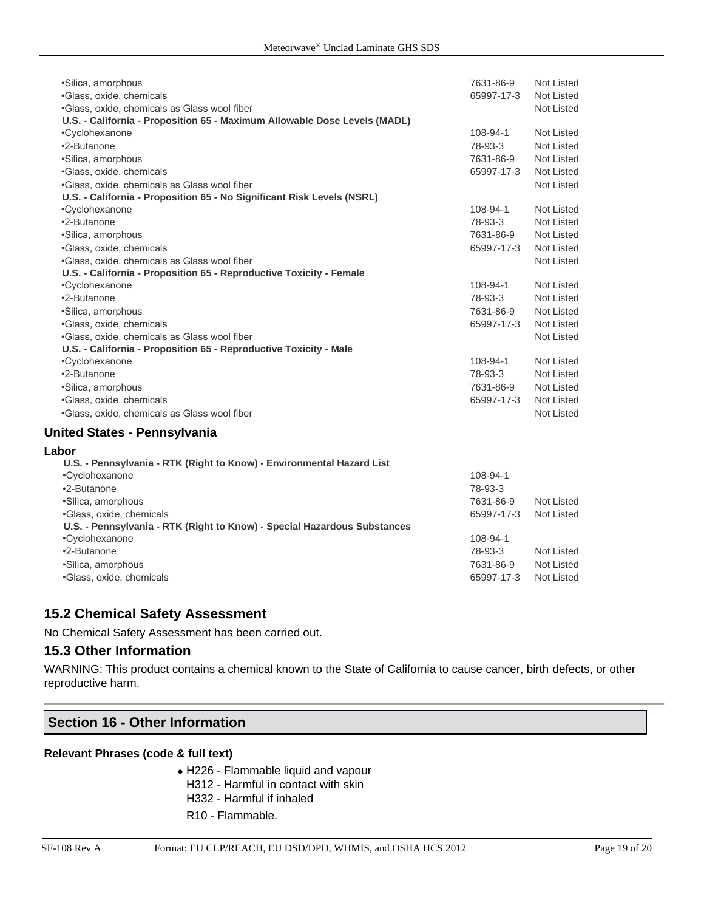| •Silica, amorphous<br>•Glass, oxide, chemicals<br>•Glass, oxide, chemicals as Glass wool fiber<br>U.S. - California - Proposition 65 - Maximum Allowable Dose Levels (MADL) | 7631-86-9<br>65997-17-3 | Not Listed<br>Not Listed<br><b>Not Listed</b> |  |  |
|-----------------------------------------------------------------------------------------------------------------------------------------------------------------------------|-------------------------|-----------------------------------------------|--|--|
| •Cyclohexanone                                                                                                                                                              | 108-94-1                | Not Listed                                    |  |  |
| •2-Butanone                                                                                                                                                                 | 78-93-3                 | Not Listed                                    |  |  |
| •Silica, amorphous                                                                                                                                                          | 7631-86-9               | <b>Not Listed</b>                             |  |  |
| •Glass, oxide, chemicals                                                                                                                                                    | 65997-17-3              | Not Listed                                    |  |  |
| •Glass, oxide, chemicals as Glass wool fiber                                                                                                                                |                         | Not Listed                                    |  |  |
| U.S. - California - Proposition 65 - No Significant Risk Levels (NSRL)                                                                                                      |                         |                                               |  |  |
| •Cyclohexanone                                                                                                                                                              | 108-94-1                | Not Listed                                    |  |  |
| •2-Butanone                                                                                                                                                                 | 78-93-3                 | <b>Not Listed</b>                             |  |  |
| •Silica, amorphous                                                                                                                                                          | 7631-86-9               | <b>Not Listed</b>                             |  |  |
| •Glass, oxide, chemicals                                                                                                                                                    | 65997-17-3              | Not Listed                                    |  |  |
| •Glass, oxide, chemicals as Glass wool fiber                                                                                                                                |                         | Not Listed                                    |  |  |
| U.S. - California - Proposition 65 - Reproductive Toxicity - Female                                                                                                         |                         |                                               |  |  |
| •Cyclohexanone                                                                                                                                                              | 108-94-1                | Not Listed                                    |  |  |
| •2-Butanone                                                                                                                                                                 | 78-93-3                 | Not Listed                                    |  |  |
| •Silica, amorphous                                                                                                                                                          | 7631-86-9               | Not Listed                                    |  |  |
| •Glass, oxide, chemicals                                                                                                                                                    | 65997-17-3              | Not Listed                                    |  |  |
| •Glass, oxide, chemicals as Glass wool fiber                                                                                                                                |                         | Not Listed                                    |  |  |
| U.S. - California - Proposition 65 - Reproductive Toxicity - Male                                                                                                           |                         |                                               |  |  |
| •Cyclohexanone                                                                                                                                                              | 108-94-1                | Not Listed                                    |  |  |
| •2-Butanone                                                                                                                                                                 | 78-93-3                 | Not Listed                                    |  |  |
| ·Silica, amorphous                                                                                                                                                          | 7631-86-9               | Not Listed                                    |  |  |
| •Glass, oxide, chemicals                                                                                                                                                    | 65997-17-3              | Not Listed                                    |  |  |
| •Glass, oxide, chemicals as Glass wool fiber                                                                                                                                |                         | <b>Not Listed</b>                             |  |  |

#### **United States - Pennsylvania**

#### **Labor U.S. - Pennsylvania - RTK (Right to Know) - Environmental Hazard List** •Cyclohexanone 108-94-1 •2-Butanone 78-93-3 •Silica, amorphous 7631-86-9 Not Listed •Glass, oxide, chemicals 65997-17-3 Not Listed **U.S. - Pennsylvania - RTK (Right to Know) - Special Hazardous Substances** •Cyclohexanone 108-94-1 •2-Butanone 78-93-3 Not Listed •Silica, amorphous 7631-86-9 Not Listed •Glass, oxide, chemicals 65997-17-3 Not Listed

# **15.2 Chemical Safety Assessment**

No Chemical Safety Assessment has been carried out.

#### **15.3 Other Information**

WARNING: This product contains a chemical known to the State of California to cause cancer, birth defects, or other reproductive harm.

# **Section 16 - Other Information**

#### **Relevant Phrases (code & full text)**

- H226 Flammable liquid and vapour H312 - Harmful in contact with skin H332 - Harmful if inhaled
- R10 Flammable.